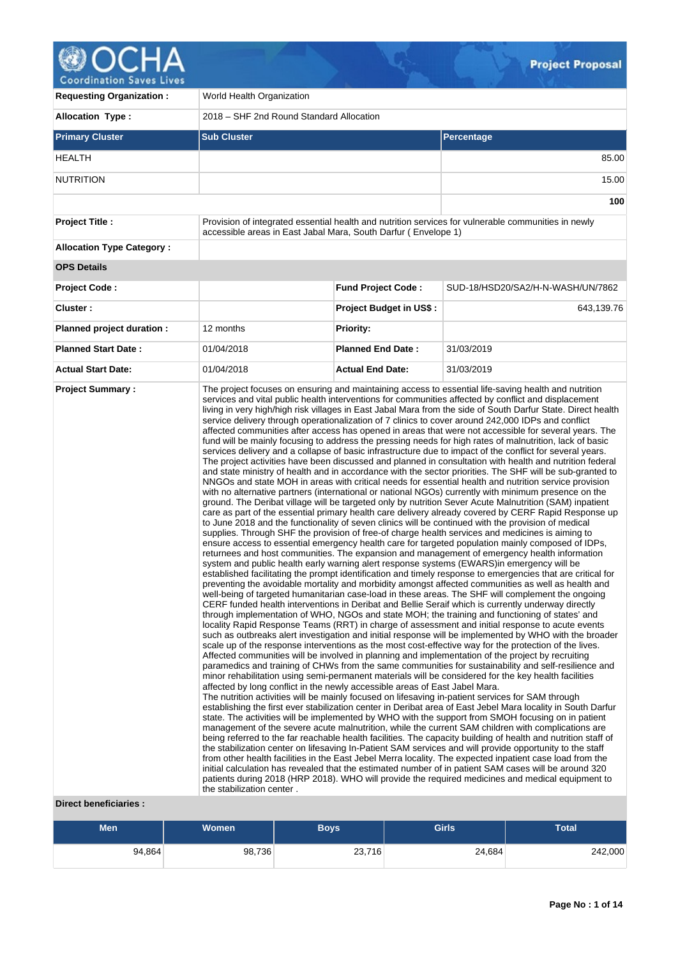

 $\sqrt{2}$ 

| <b>Requesting Organization:</b>  | World Health Organization                                                                                |                                |                                                                                                                                                                                                                                                                                                                                                                                                                                                                                                                                                                                                                                                                                                                                                                                                                                                                                                                                                                                                                                                                                                                                                                                                                                                                                                                                                                                                                                                                                                                                                                                                                                                                                                                                                                                                                                                                                                                                                                                                                                                                                                                                                                                                                                                                                                                                                                                                                                                                                                                                                                                                                                                                                                                                                                                                                                                                                                                                                                                                                                                                                                                                                                                                                                                                                                                                                                                                                                                                                                                                                                                                                                                                                                                                                                                                                                                                                                                                                                                                                 |  |  |  |  |
|----------------------------------|----------------------------------------------------------------------------------------------------------|--------------------------------|-----------------------------------------------------------------------------------------------------------------------------------------------------------------------------------------------------------------------------------------------------------------------------------------------------------------------------------------------------------------------------------------------------------------------------------------------------------------------------------------------------------------------------------------------------------------------------------------------------------------------------------------------------------------------------------------------------------------------------------------------------------------------------------------------------------------------------------------------------------------------------------------------------------------------------------------------------------------------------------------------------------------------------------------------------------------------------------------------------------------------------------------------------------------------------------------------------------------------------------------------------------------------------------------------------------------------------------------------------------------------------------------------------------------------------------------------------------------------------------------------------------------------------------------------------------------------------------------------------------------------------------------------------------------------------------------------------------------------------------------------------------------------------------------------------------------------------------------------------------------------------------------------------------------------------------------------------------------------------------------------------------------------------------------------------------------------------------------------------------------------------------------------------------------------------------------------------------------------------------------------------------------------------------------------------------------------------------------------------------------------------------------------------------------------------------------------------------------------------------------------------------------------------------------------------------------------------------------------------------------------------------------------------------------------------------------------------------------------------------------------------------------------------------------------------------------------------------------------------------------------------------------------------------------------------------------------------------------------------------------------------------------------------------------------------------------------------------------------------------------------------------------------------------------------------------------------------------------------------------------------------------------------------------------------------------------------------------------------------------------------------------------------------------------------------------------------------------------------------------------------------------------------------------------------------------------------------------------------------------------------------------------------------------------------------------------------------------------------------------------------------------------------------------------------------------------------------------------------------------------------------------------------------------------------------------------------------------------------------------------------------------------|--|--|--|--|
| <b>Allocation Type:</b>          | 2018 - SHF 2nd Round Standard Allocation                                                                 |                                |                                                                                                                                                                                                                                                                                                                                                                                                                                                                                                                                                                                                                                                                                                                                                                                                                                                                                                                                                                                                                                                                                                                                                                                                                                                                                                                                                                                                                                                                                                                                                                                                                                                                                                                                                                                                                                                                                                                                                                                                                                                                                                                                                                                                                                                                                                                                                                                                                                                                                                                                                                                                                                                                                                                                                                                                                                                                                                                                                                                                                                                                                                                                                                                                                                                                                                                                                                                                                                                                                                                                                                                                                                                                                                                                                                                                                                                                                                                                                                                                                 |  |  |  |  |
| <b>Primary Cluster</b>           | <b>Sub Cluster</b>                                                                                       |                                | <b>Percentage</b>                                                                                                                                                                                                                                                                                                                                                                                                                                                                                                                                                                                                                                                                                                                                                                                                                                                                                                                                                                                                                                                                                                                                                                                                                                                                                                                                                                                                                                                                                                                                                                                                                                                                                                                                                                                                                                                                                                                                                                                                                                                                                                                                                                                                                                                                                                                                                                                                                                                                                                                                                                                                                                                                                                                                                                                                                                                                                                                                                                                                                                                                                                                                                                                                                                                                                                                                                                                                                                                                                                                                                                                                                                                                                                                                                                                                                                                                                                                                                                                               |  |  |  |  |
| HEALTH                           |                                                                                                          |                                | 85.00                                                                                                                                                                                                                                                                                                                                                                                                                                                                                                                                                                                                                                                                                                                                                                                                                                                                                                                                                                                                                                                                                                                                                                                                                                                                                                                                                                                                                                                                                                                                                                                                                                                                                                                                                                                                                                                                                                                                                                                                                                                                                                                                                                                                                                                                                                                                                                                                                                                                                                                                                                                                                                                                                                                                                                                                                                                                                                                                                                                                                                                                                                                                                                                                                                                                                                                                                                                                                                                                                                                                                                                                                                                                                                                                                                                                                                                                                                                                                                                                           |  |  |  |  |
| <b>NUTRITION</b>                 |                                                                                                          |                                | 15.00                                                                                                                                                                                                                                                                                                                                                                                                                                                                                                                                                                                                                                                                                                                                                                                                                                                                                                                                                                                                                                                                                                                                                                                                                                                                                                                                                                                                                                                                                                                                                                                                                                                                                                                                                                                                                                                                                                                                                                                                                                                                                                                                                                                                                                                                                                                                                                                                                                                                                                                                                                                                                                                                                                                                                                                                                                                                                                                                                                                                                                                                                                                                                                                                                                                                                                                                                                                                                                                                                                                                                                                                                                                                                                                                                                                                                                                                                                                                                                                                           |  |  |  |  |
|                                  |                                                                                                          |                                | 100                                                                                                                                                                                                                                                                                                                                                                                                                                                                                                                                                                                                                                                                                                                                                                                                                                                                                                                                                                                                                                                                                                                                                                                                                                                                                                                                                                                                                                                                                                                                                                                                                                                                                                                                                                                                                                                                                                                                                                                                                                                                                                                                                                                                                                                                                                                                                                                                                                                                                                                                                                                                                                                                                                                                                                                                                                                                                                                                                                                                                                                                                                                                                                                                                                                                                                                                                                                                                                                                                                                                                                                                                                                                                                                                                                                                                                                                                                                                                                                                             |  |  |  |  |
| <b>Project Title:</b>            | accessible areas in East Jabal Mara, South Darfur (Envelope 1)                                           |                                | Provision of integrated essential health and nutrition services for vulnerable communities in newly                                                                                                                                                                                                                                                                                                                                                                                                                                                                                                                                                                                                                                                                                                                                                                                                                                                                                                                                                                                                                                                                                                                                                                                                                                                                                                                                                                                                                                                                                                                                                                                                                                                                                                                                                                                                                                                                                                                                                                                                                                                                                                                                                                                                                                                                                                                                                                                                                                                                                                                                                                                                                                                                                                                                                                                                                                                                                                                                                                                                                                                                                                                                                                                                                                                                                                                                                                                                                                                                                                                                                                                                                                                                                                                                                                                                                                                                                                             |  |  |  |  |
| <b>Allocation Type Category:</b> |                                                                                                          |                                |                                                                                                                                                                                                                                                                                                                                                                                                                                                                                                                                                                                                                                                                                                                                                                                                                                                                                                                                                                                                                                                                                                                                                                                                                                                                                                                                                                                                                                                                                                                                                                                                                                                                                                                                                                                                                                                                                                                                                                                                                                                                                                                                                                                                                                                                                                                                                                                                                                                                                                                                                                                                                                                                                                                                                                                                                                                                                                                                                                                                                                                                                                                                                                                                                                                                                                                                                                                                                                                                                                                                                                                                                                                                                                                                                                                                                                                                                                                                                                                                                 |  |  |  |  |
| <b>OPS Details</b>               |                                                                                                          |                                |                                                                                                                                                                                                                                                                                                                                                                                                                                                                                                                                                                                                                                                                                                                                                                                                                                                                                                                                                                                                                                                                                                                                                                                                                                                                                                                                                                                                                                                                                                                                                                                                                                                                                                                                                                                                                                                                                                                                                                                                                                                                                                                                                                                                                                                                                                                                                                                                                                                                                                                                                                                                                                                                                                                                                                                                                                                                                                                                                                                                                                                                                                                                                                                                                                                                                                                                                                                                                                                                                                                                                                                                                                                                                                                                                                                                                                                                                                                                                                                                                 |  |  |  |  |
| <b>Project Code:</b>             |                                                                                                          | <b>Fund Project Code:</b>      | SUD-18/HSD20/SA2/H-N-WASH/UN/7862                                                                                                                                                                                                                                                                                                                                                                                                                                                                                                                                                                                                                                                                                                                                                                                                                                                                                                                                                                                                                                                                                                                                                                                                                                                                                                                                                                                                                                                                                                                                                                                                                                                                                                                                                                                                                                                                                                                                                                                                                                                                                                                                                                                                                                                                                                                                                                                                                                                                                                                                                                                                                                                                                                                                                                                                                                                                                                                                                                                                                                                                                                                                                                                                                                                                                                                                                                                                                                                                                                                                                                                                                                                                                                                                                                                                                                                                                                                                                                               |  |  |  |  |
| Cluster:                         |                                                                                                          | <b>Project Budget in US\$:</b> | 643,139.76                                                                                                                                                                                                                                                                                                                                                                                                                                                                                                                                                                                                                                                                                                                                                                                                                                                                                                                                                                                                                                                                                                                                                                                                                                                                                                                                                                                                                                                                                                                                                                                                                                                                                                                                                                                                                                                                                                                                                                                                                                                                                                                                                                                                                                                                                                                                                                                                                                                                                                                                                                                                                                                                                                                                                                                                                                                                                                                                                                                                                                                                                                                                                                                                                                                                                                                                                                                                                                                                                                                                                                                                                                                                                                                                                                                                                                                                                                                                                                                                      |  |  |  |  |
| Planned project duration :       | 12 months                                                                                                | <b>Priority:</b>               |                                                                                                                                                                                                                                                                                                                                                                                                                                                                                                                                                                                                                                                                                                                                                                                                                                                                                                                                                                                                                                                                                                                                                                                                                                                                                                                                                                                                                                                                                                                                                                                                                                                                                                                                                                                                                                                                                                                                                                                                                                                                                                                                                                                                                                                                                                                                                                                                                                                                                                                                                                                                                                                                                                                                                                                                                                                                                                                                                                                                                                                                                                                                                                                                                                                                                                                                                                                                                                                                                                                                                                                                                                                                                                                                                                                                                                                                                                                                                                                                                 |  |  |  |  |
| <b>Planned Start Date:</b>       | 01/04/2018                                                                                               | <b>Planned End Date:</b>       | 31/03/2019                                                                                                                                                                                                                                                                                                                                                                                                                                                                                                                                                                                                                                                                                                                                                                                                                                                                                                                                                                                                                                                                                                                                                                                                                                                                                                                                                                                                                                                                                                                                                                                                                                                                                                                                                                                                                                                                                                                                                                                                                                                                                                                                                                                                                                                                                                                                                                                                                                                                                                                                                                                                                                                                                                                                                                                                                                                                                                                                                                                                                                                                                                                                                                                                                                                                                                                                                                                                                                                                                                                                                                                                                                                                                                                                                                                                                                                                                                                                                                                                      |  |  |  |  |
| <b>Actual Start Date:</b>        | 01/04/2018                                                                                               | <b>Actual End Date:</b>        | 31/03/2019                                                                                                                                                                                                                                                                                                                                                                                                                                                                                                                                                                                                                                                                                                                                                                                                                                                                                                                                                                                                                                                                                                                                                                                                                                                                                                                                                                                                                                                                                                                                                                                                                                                                                                                                                                                                                                                                                                                                                                                                                                                                                                                                                                                                                                                                                                                                                                                                                                                                                                                                                                                                                                                                                                                                                                                                                                                                                                                                                                                                                                                                                                                                                                                                                                                                                                                                                                                                                                                                                                                                                                                                                                                                                                                                                                                                                                                                                                                                                                                                      |  |  |  |  |
| Direct beneficiaries :           | affected by long conflict in the newly accessible areas of East Jabel Mara.<br>the stabilization center. |                                | services and vital public health interventions for communities affected by conflict and displacement<br>living in very high/high risk villages in East Jabal Mara from the side of South Darfur State. Direct health<br>service delivery through operationalization of 7 clinics to cover around 242,000 IDPs and conflict<br>affected communities after access has opened in areas that were not accessible for several years. The<br>fund will be mainly focusing to address the pressing needs for high rates of malnutrition, lack of basic<br>services delivery and a collapse of basic infrastructure due to impact of the conflict for several years.<br>The project activities have been discussed and planned in consultation with health and nutrition federal<br>and state ministry of health and in accordance with the sector priorities. The SHF will be sub-granted to<br>NNGOs and state MOH in areas with critical needs for essential health and nutrition service provision<br>with no alternative partners (international or national NGOs) currently with minimum presence on the<br>ground. The Deribat village will be targeted only by nutrition Sever Acute Malnutrition (SAM) inpatient<br>care as part of the essential primary health care delivery already covered by CERF Rapid Response up<br>to June 2018 and the functionality of seven clinics will be continued with the provision of medical<br>supplies. Through SHF the provision of free-of charge health services and medicines is aiming to<br>ensure access to essential emergency health care for targeted population mainly composed of IDPs,<br>returnees and host communities. The expansion and management of emergency health information<br>system and public health early warning alert response systems (EWARS) in emergency will be<br>established facilitating the prompt identification and timely response to emergencies that are critical for<br>preventing the avoidable mortality and morbidity amongst affected communities as well as health and<br>well-being of targeted humanitarian case-load in these areas. The SHF will complement the ongoing<br>CERF funded health interventions in Deribat and Bellie Seraif which is currently underway directly<br>through implementation of WHO, NGOs and state MOH; the training and functioning of states' and<br>locality Rapid Response Teams (RRT) in charge of assessment and initial response to acute events<br>such as outbreaks alert investigation and initial response will be implemented by WHO with the broader<br>scale up of the response interventions as the most cost-effective way for the protection of the lives.<br>Affected communities will be involved in planning and implementation of the project by recruiting<br>paramedics and training of CHWs from the same communities for sustainability and self-resilience and<br>minor rehabilitation using semi-permanent materials will be considered for the key health facilities<br>The nutrition activities will be mainly focused on lifesaving in-patient services for SAM through<br>establishing the first ever stabilization center in Deribat area of East Jebel Mara locality in South Darfur<br>state. The activities will be implemented by WHO with the support from SMOH focusing on in patient<br>management of the severe acute malnutrition, while the current SAM children with complications are<br>being referred to the far reachable health facilities. The capacity building of health and nutrition staff of<br>the stabilization center on lifesaving In-Patient SAM services and will provide opportunity to the staff<br>from other health facilities in the East Jebel Merra locality. The expected inpatient case load from the<br>initial calculation has revealed that the estimated number of in patient SAM cases will be around 320<br>patients during 2018 (HRP 2018). WHO will provide the required medicines and medical equipment to |  |  |  |  |

 $\mathcal{A}_{\mathcal{A}}$ 

| <b>Men</b> | <b>Women</b> | Boysl  | <b>Girls</b> | <b>Total</b> |  |  |
|------------|--------------|--------|--------------|--------------|--|--|
| 94,864     | 98,736       | 23,716 | 24,684       | 242,000      |  |  |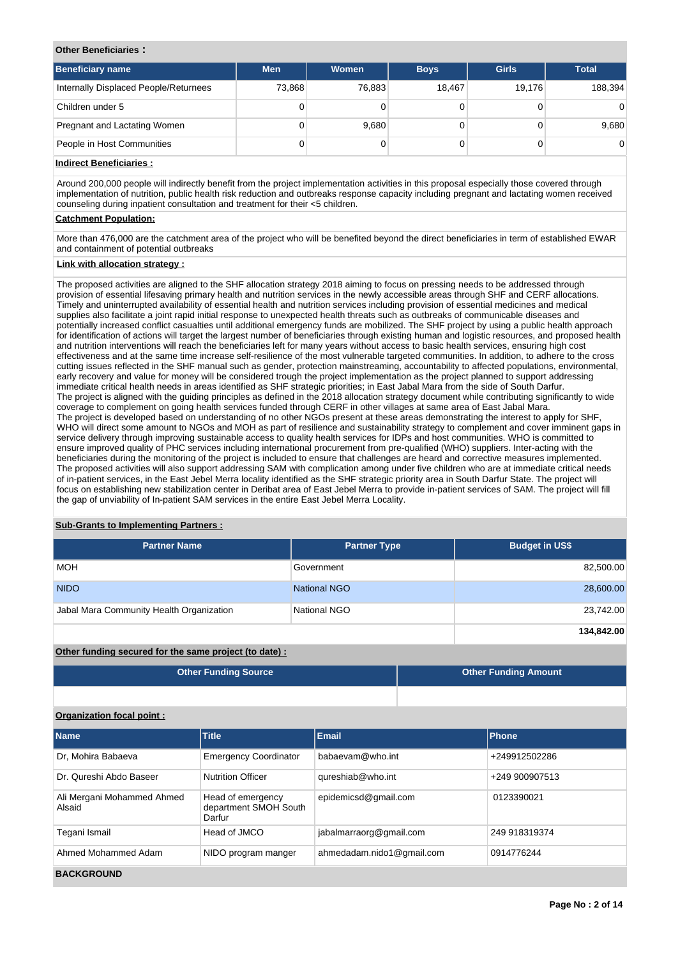### **Other Beneficiaries :**

| <b>Beneficiary name</b>               | <b>Men</b> | <b>Women</b> | <b>Boys</b> | <b>Girls</b> | <b>Total</b> |
|---------------------------------------|------------|--------------|-------------|--------------|--------------|
| Internally Displaced People/Returnees | 73,868     | 76,883       | 18.467      | 19.176       | 188,394      |
| Children under 5                      | 0          |              |             |              | $\Omega$     |
| Pregnant and Lactating Women          | 0          | 9,680        |             |              | 9,680        |
| People in Host Communities            | 0          |              |             |              | 0            |

# **Indirect Beneficiaries :**

Around 200,000 people will indirectly benefit from the project implementation activities in this proposal especially those covered through implementation of nutrition, public health risk reduction and outbreaks response capacity including pregnant and lactating women received counseling during inpatient consultation and treatment for their <5 children.

## **Catchment Population:**

More than 476,000 are the catchment area of the project who will be benefited beyond the direct beneficiaries in term of established EWAR and containment of potential outbreaks

## **Link with allocation strategy :**

The proposed activities are aligned to the SHF allocation strategy 2018 aiming to focus on pressing needs to be addressed through provision of essential lifesaving primary health and nutrition services in the newly accessible areas through SHF and CERF allocations. Timely and uninterrupted availability of essential health and nutrition services including provision of essential medicines and medical supplies also facilitate a joint rapid initial response to unexpected health threats such as outbreaks of communicable diseases and potentially increased conflict casualties until additional emergency funds are mobilized. The SHF project by using a public health approach for identification of actions will target the largest number of beneficiaries through existing human and logistic resources, and proposed health and nutrition interventions will reach the beneficiaries left for many years without access to basic health services, ensuring high cost effectiveness and at the same time increase self-resilience of the most vulnerable targeted communities. In addition, to adhere to the cross cutting issues reflected in the SHF manual such as gender, protection mainstreaming, accountability to affected populations, environmental, early recovery and value for money will be considered trough the project implementation as the project planned to support addressing immediate critical health needs in areas identified as SHF strategic priorities; in East Jabal Mara from the side of South Darfur. The project is aligned with the guiding principles as defined in the 2018 allocation strategy document while contributing significantly to wide coverage to complement on going health services funded through CERF in other villages at same area of East Jabal Mara. The project is developed based on understanding of no other NGOs present at these areas demonstrating the interest to apply for SHF, WHO will direct some amount to NGOs and MOH as part of resilience and sustainability strategy to complement and cover imminent gaps in service delivery through improving sustainable access to quality health services for IDPs and host communities. WHO is committed to ensure improved quality of PHC services including international procurement from pre-qualified (WHO) suppliers. Inter-acting with the beneficiaries during the monitoring of the project is included to ensure that challenges are heard and corrective measures implemented. The proposed activities will also support addressing SAM with complication among under five children who are at immediate critical needs of in-patient services, in the East Jebel Merra locality identified as the SHF strategic priority area in South Darfur State. The project will focus on establishing new stabilization center in Deribat area of East Jebel Merra to provide in-patient services of SAM. The project will fill the gap of unviability of In-patient SAM services in the entire East Jebel Merra Locality.

### **Sub-Grants to Implementing Partners :**

| <b>Partner Name</b>                      | <b>Partner Type</b> | <b>Budget in US\$</b> |
|------------------------------------------|---------------------|-----------------------|
| <b>MOH</b>                               | Government          | 82,500.00             |
| <b>NIDO</b>                              | National NGO        | 28,600.00             |
| Jabal Mara Community Health Organization | National NGO        | 23,742.00             |
|                                          |                     | 134,842.00            |

## **Other funding secured for the same project (to date) :**

| Other Funding Source | <b>Other Funding Amount</b> |
|----------------------|-----------------------------|
|                      |                             |

# **Organization focal point :**

| <b>Name</b>                          | <b>Title</b>                                         | <b>Email</b>            | Phone          |
|--------------------------------------|------------------------------------------------------|-------------------------|----------------|
| Dr, Mohira Babaeva                   | <b>Emergency Coordinator</b>                         | babaevam@who.int        | +249912502286  |
| Dr. Qureshi Abdo Baseer              | <b>Nutrition Officer</b>                             | qureshiab@who.int       | +249 900907513 |
| Ali Mergani Mohammed Ahmed<br>Alsaid | Head of emergency<br>department SMOH South<br>Darfur | epidemicsd@gmail.com    | 0123390021     |
| Tegani Ismail                        | Head of JMCO                                         | jabalmarraorg@gmail.com | 249 918319374  |
| Ahmed Mohammed Adam                  | NIDO program manger                                  | 0914776244              |                |
| <b>BACKGROUND</b>                    |                                                      |                         |                |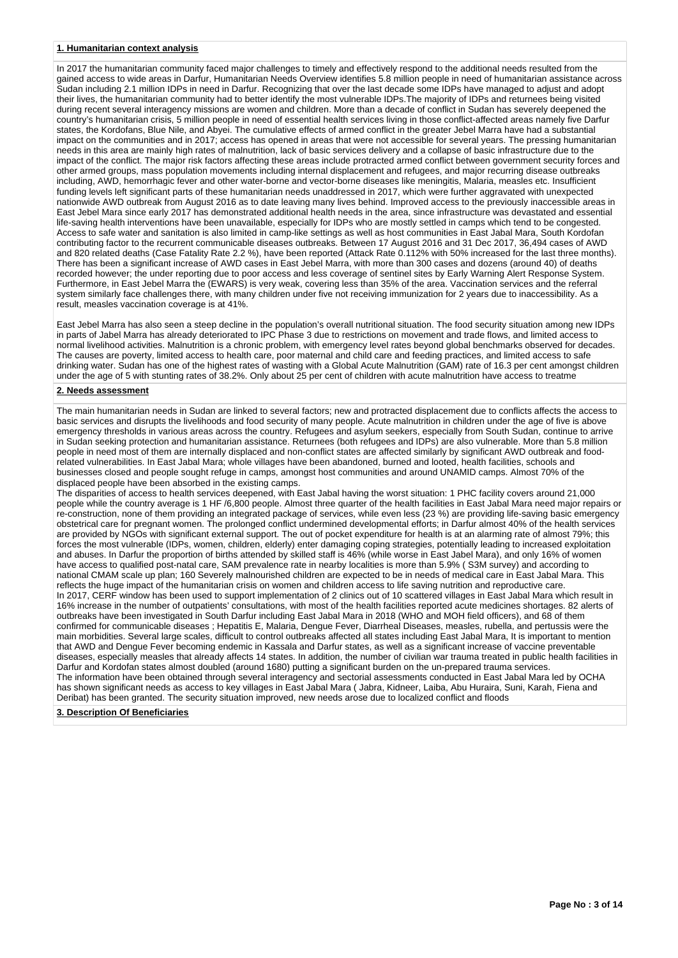#### **1. Humanitarian context analysis**

In 2017 the humanitarian community faced major challenges to timely and effectively respond to the additional needs resulted from the gained access to wide areas in Darfur, Humanitarian Needs Overview identifies 5.8 million people in need of humanitarian assistance across Sudan including 2.1 million IDPs in need in Darfur. Recognizing that over the last decade some IDPs have managed to adjust and adopt their lives, the humanitarian community had to better identify the most vulnerable IDPs.The majority of IDPs and returnees being visited during recent several interagency missions are women and children. More than a decade of conflict in Sudan has severely deepened the country's humanitarian crisis, 5 million people in need of essential health services living in those conflict-affected areas namely five Darfur states, the Kordofans, Blue Nile, and Abyei. The cumulative effects of armed conflict in the greater Jebel Marra have had a substantial impact on the communities and in 2017; access has opened in areas that were not accessible for several years. The pressing humanitarian needs in this area are mainly high rates of malnutrition, lack of basic services delivery and a collapse of basic infrastructure due to the impact of the conflict. The major risk factors affecting these areas include protracted armed conflict between government security forces and other armed groups, mass population movements including internal displacement and refugees, and major recurring disease outbreaks including, AWD, hemorrhagic fever and other water-borne and vector-borne diseases like meningitis, Malaria, measles etc. Insufficient funding levels left significant parts of these humanitarian needs unaddressed in 2017, which were further aggravated with unexpected nationwide AWD outbreak from August 2016 as to date leaving many lives behind. Improved access to the previously inaccessible areas in East Jebel Mara since early 2017 has demonstrated additional health needs in the area, since infrastructure was devastated and essential life-saving health interventions have been unavailable, especially for IDPs who are mostly settled in camps which tend to be congested. Access to safe water and sanitation is also limited in camp-like settings as well as host communities in East Jabal Mara, South Kordofan contributing factor to the recurrent communicable diseases outbreaks. Between 17 August 2016 and 31 Dec 2017, 36,494 cases of AWD and 820 related deaths (Case Fatality Rate 2.2 %), have been reported (Attack Rate 0.112% with 50% increased for the last three months). There has been a significant increase of AWD cases in East Jebel Marra, with more than 300 cases and dozens (around 40) of deaths recorded however; the under reporting due to poor access and less coverage of sentinel sites by Early Warning Alert Response System. Furthermore, in East Jebel Marra the (EWARS) is very weak, covering less than 35% of the area. Vaccination services and the referral system similarly face challenges there, with many children under five not receiving immunization for 2 years due to inaccessibility. As a result, measles vaccination coverage is at 41%.

East Jebel Marra has also seen a steep decline in the population's overall nutritional situation. The food security situation among new IDPs in parts of Jabel Marra has already deteriorated to IPC Phase 3 due to restrictions on movement and trade flows, and limited access to normal livelihood activities. Malnutrition is a chronic problem, with emergency level rates beyond global benchmarks observed for decades. The causes are poverty, limited access to health care, poor maternal and child care and feeding practices, and limited access to safe drinking water. Sudan has one of the highest rates of wasting with a Global Acute Malnutrition (GAM) rate of 16.3 per cent amongst children under the age of 5 with stunting rates of 38.2%. Only about 25 per cent of children with acute malnutrition have access to treatme

### **2. Needs assessment**

The main humanitarian needs in Sudan are linked to several factors; new and protracted displacement due to conflicts affects the access to basic services and disrupts the livelihoods and food security of many people. Acute malnutrition in children under the age of five is above emergency thresholds in various areas across the country. Refugees and asylum seekers, especially from South Sudan, continue to arrive in Sudan seeking protection and humanitarian assistance. Returnees (both refugees and IDPs) are also vulnerable. More than 5.8 million people in need most of them are internally displaced and non-conflict states are affected similarly by significant AWD outbreak and foodrelated vulnerabilities. In East Jabal Mara; whole villages have been abandoned, burned and looted, health facilities, schools and businesses closed and people sought refuge in camps, amongst host communities and around UNAMID camps. Almost 70% of the displaced people have been absorbed in the existing camps.

The disparities of access to health services deepened, with East Jabal having the worst situation: 1 PHC facility covers around 21,000 people while the country average is 1 HF /6,800 people. Almost three quarter of the health facilities in East Jabal Mara need major repairs or re-construction, none of them providing an integrated package of services, while even less (23 %) are providing life-saving basic emergency obstetrical care for pregnant women. The prolonged conflict undermined developmental efforts; in Darfur almost 40% of the health services are provided by NGOs with significant external support. The out of pocket expenditure for health is at an alarming rate of almost 79%; this forces the most vulnerable (IDPs, women, children, elderly) enter damaging coping strategies, potentially leading to increased exploitation and abuses. In Darfur the proportion of births attended by skilled staff is 46% (while worse in East Jabel Mara), and only 16% of women have access to qualified post-natal care, SAM prevalence rate in nearby localities is more than 5.9% ( S3M survey) and according to national CMAM scale up plan; 160 Severely malnourished children are expected to be in needs of medical care in East Jabal Mara. This reflects the huge impact of the humanitarian crisis on women and children access to life saving nutrition and reproductive care. In 2017, CERF window has been used to support implementation of 2 clinics out of 10 scattered villages in East Jabal Mara which result in 16% increase in the number of outpatients' consultations, with most of the health facilities reported acute medicines shortages. 82 alerts of outbreaks have been investigated in South Darfur including East Jabal Mara in 2018 (WHO and MOH field officers), and 68 of them confirmed for communicable diseases ; Hepatitis E, Malaria, Dengue Fever, Diarrheal Diseases, measles, rubella, and pertussis were the main morbidities. Several large scales, difficult to control outbreaks affected all states including East Jabal Mara, It is important to mention that AWD and Dengue Fever becoming endemic in Kassala and Darfur states, as well as a significant increase of vaccine preventable diseases, especially measles that already affects 14 states. In addition, the number of civilian war trauma treated in public health facilities in Darfur and Kordofan states almost doubled (around 1680) putting a significant burden on the un-prepared trauma services. The information have been obtained through several interagency and sectorial assessments conducted in East Jabal Mara led by OCHA has shown significant needs as access to key villages in East Jabal Mara ( Jabra, Kidneer, Laiba, Abu Huraira, Suni, Karah, Fiena and Deribat) has been granted. The security situation improved, new needs arose due to localized conflict and floods

#### **3. Description Of Beneficiaries**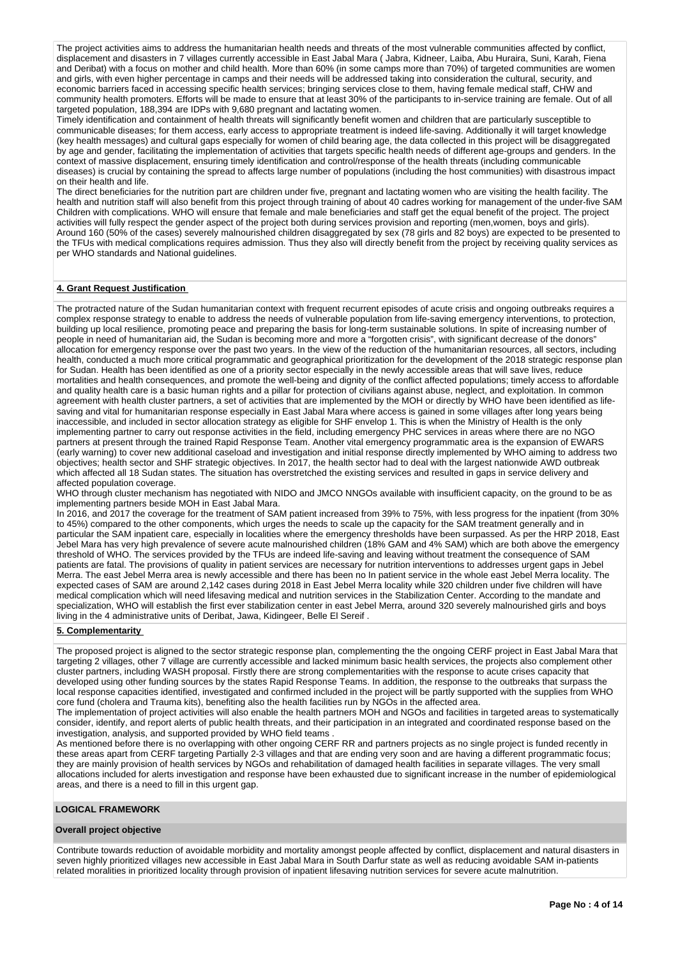The project activities aims to address the humanitarian health needs and threats of the most vulnerable communities affected by conflict, displacement and disasters in 7 villages currently accessible in East Jabal Mara ( Jabra, Kidneer, Laiba, Abu Huraira, Suni, Karah, Fiena and Deribat) with a focus on mother and child health. More than 60% (in some camps more than 70%) of targeted communities are women and girls, with even higher percentage in camps and their needs will be addressed taking into consideration the cultural, security, and economic barriers faced in accessing specific health services; bringing services close to them, having female medical staff, CHW and community health promoters. Efforts will be made to ensure that at least 30% of the participants to in-service training are female. Out of all targeted population, 188,394 are IDPs with 9,680 pregnant and lactating women.

Timely identification and containment of health threats will significantly benefit women and children that are particularly susceptible to communicable diseases; for them access, early access to appropriate treatment is indeed life-saving. Additionally it will target knowledge (key health messages) and cultural gaps especially for women of child bearing age, the data collected in this project will be disaggregated by age and gender, facilitating the implementation of activities that targets specific health needs of different age-groups and genders. In the context of massive displacement, ensuring timely identification and control/response of the health threats (including communicable diseases) is crucial by containing the spread to affects large number of populations (including the host communities) with disastrous impact on their health and life.

The direct beneficiaries for the nutrition part are children under five, pregnant and lactating women who are visiting the health facility. The health and nutrition staff will also benefit from this project through training of about 40 cadres working for management of the under-five SAM Children with complications. WHO will ensure that female and male beneficiaries and staff get the equal benefit of the project. The project activities will fully respect the gender aspect of the project both during services provision and reporting (men,women, boys and girls). Around 160 (50% of the cases) severely malnourished children disaggregated by sex (78 girls and 82 boys) are expected to be presented to the TFUs with medical complications requires admission. Thus they also will directly benefit from the project by receiving quality services as per WHO standards and National guidelines.

### **4. Grant Request Justification**

The protracted nature of the Sudan humanitarian context with frequent recurrent episodes of acute crisis and ongoing outbreaks requires a complex response strategy to enable to address the needs of vulnerable population from life-saving emergency interventions, to protection, building up local resilience, promoting peace and preparing the basis for long-term sustainable solutions. In spite of increasing number of people in need of humanitarian aid, the Sudan is becoming more and more a "forgotten crisis", with significant decrease of the donors" allocation for emergency response over the past two years. In the view of the reduction of the humanitarian resources, all sectors, including health, conducted a much more critical programmatic and geographical prioritization for the development of the 2018 strategic response plan for Sudan. Health has been identified as one of a priority sector especially in the newly accessible areas that will save lives, reduce mortalities and health consequences, and promote the well-being and dignity of the conflict affected populations; timely access to affordable and quality health care is a basic human rights and a pillar for protection of civilians against abuse, neglect, and exploitation. In common agreement with health cluster partners, a set of activities that are implemented by the MOH or directly by WHO have been identified as lifesaving and vital for humanitarian response especially in East Jabal Mara where access is gained in some villages after long years being inaccessible, and included in sector allocation strategy as eligible for SHF envelop 1. This is when the Ministry of Health is the only implementing partner to carry out response activities in the field, including emergency PHC services in areas where there are no NGO partners at present through the trained Rapid Response Team. Another vital emergency programmatic area is the expansion of EWARS (early warning) to cover new additional caseload and investigation and initial response directly implemented by WHO aiming to address two objectives; health sector and SHF strategic objectives. In 2017, the health sector had to deal with the largest nationwide AWD outbreak which affected all 18 Sudan states. The situation has overstretched the existing services and resulted in gaps in service delivery and affected population coverage.

WHO through cluster mechanism has negotiated with NIDO and JMCO NNGOs available with insufficient capacity, on the ground to be as implementing partners beside MOH in East Jabal Mara.

In 2016, and 2017 the coverage for the treatment of SAM patient increased from 39% to 75%, with less progress for the inpatient (from 30% to 45%) compared to the other components, which urges the needs to scale up the capacity for the SAM treatment generally and in particular the SAM inpatient care, especially in localities where the emergency thresholds have been surpassed. As per the HRP 2018, East Jebel Mara has very high prevalence of severe acute malnourished children (18% GAM and 4% SAM) which are both above the emergency threshold of WHO. The services provided by the TFUs are indeed life-saving and leaving without treatment the consequence of SAM patients are fatal. The provisions of quality in patient services are necessary for nutrition interventions to addresses urgent gaps in Jebel Merra. The east Jebel Merra area is newly accessible and there has been no In patient service in the whole east Jebel Merra locality. The expected cases of SAM are around 2,142 cases during 2018 in East Jebel Merra locality while 320 children under five children will have medical complication which will need lifesaving medical and nutrition services in the Stabilization Center. According to the mandate and specialization, WHO will establish the first ever stabilization center in east Jebel Merra, around 320 severely malnourished girls and boys living in the 4 administrative units of Deribat, Jawa, Kidingeer, Belle El Sereif .

#### **5. Complementarity**

The proposed project is aligned to the sector strategic response plan, complementing the the ongoing CERF project in East Jabal Mara that targeting 2 villages, other 7 village are currently accessible and lacked minimum basic health services, the projects also complement other cluster partners, including WASH proposal. Firstly there are strong complementarities with the response to acute crises capacity that developed using other funding sources by the states Rapid Response Teams. In addition, the response to the outbreaks that surpass the local response capacities identified, investigated and confirmed included in the project will be partly supported with the supplies from WHO core fund (cholera and Trauma kits), benefiting also the health facilities run by NGOs in the affected area.

The implementation of project activities will also enable the health partners MOH and NGOs and facilities in targeted areas to systematically consider, identify, and report alerts of public health threats, and their participation in an integrated and coordinated response based on the investigation, analysis, and supported provided by WHO field teams .

As mentioned before there is no overlapping with other ongoing CERF RR and partners projects as no single project is funded recently in these areas apart from CERF targeting Partially 2-3 villages and that are ending very soon and are having a different programmatic focus; they are mainly provision of health services by NGOs and rehabilitation of damaged health facilities in separate villages. The very small allocations included for alerts investigation and response have been exhausted due to significant increase in the number of epidemiological areas, and there is a need to fill in this urgent gap.

#### **LOGICAL FRAMEWORK**

#### **Overall project objective**

Contribute towards reduction of avoidable morbidity and mortality amongst people affected by conflict, displacement and natural disasters in seven highly prioritized villages new accessible in East Jabal Mara in South Darfur state as well as reducing avoidable SAM in-patients related moralities in prioritized locality through provision of inpatient lifesaving nutrition services for severe acute malnutrition.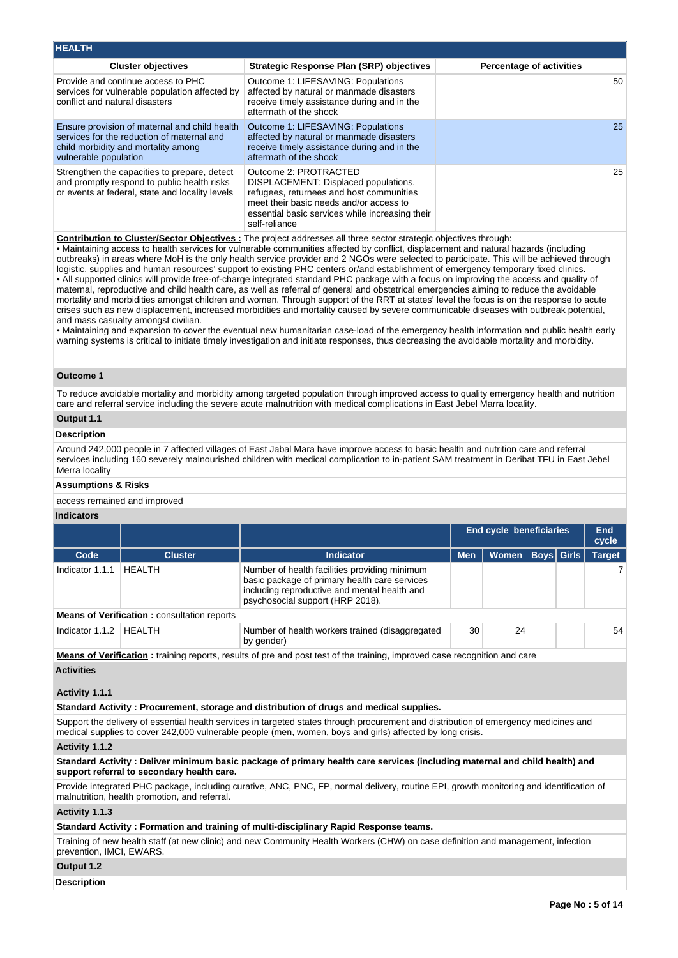| <b>HEALTH</b>                                                                                                                                               |                                                                                                                                                                                                                          |                                 |
|-------------------------------------------------------------------------------------------------------------------------------------------------------------|--------------------------------------------------------------------------------------------------------------------------------------------------------------------------------------------------------------------------|---------------------------------|
| <b>Cluster objectives</b>                                                                                                                                   | <b>Strategic Response Plan (SRP) objectives</b>                                                                                                                                                                          | <b>Percentage of activities</b> |
| Provide and continue access to PHC<br>services for vulnerable population affected by<br>conflict and natural disasters                                      | Outcome 1: LIFESAVING: Populations<br>affected by natural or manmade disasters<br>receive timely assistance during and in the<br>aftermath of the shock                                                                  | 50                              |
| Ensure provision of maternal and child health<br>services for the reduction of maternal and<br>child morbidity and mortality among<br>vulnerable population | Outcome 1: LIFESAVING: Populations<br>affected by natural or manmade disasters<br>receive timely assistance during and in the<br>aftermath of the shock                                                                  | 25                              |
| Strengthen the capacities to prepare, detect<br>and promptly respond to public health risks<br>or events at federal, state and locality levels              | Outcome 2: PROTRACTED<br>DISPLACEMENT: Displaced populations,<br>refugees, returnees and host communities<br>meet their basic needs and/or access to<br>essential basic services while increasing their<br>self-reliance | 25                              |

**Contribution to Cluster/Sector Objectives :** The project addresses all three sector strategic objectives through:

• Maintaining access to health services for vulnerable communities affected by conflict, displacement and natural hazards (including outbreaks) in areas where MoH is the only health service provider and 2 NGOs were selected to participate. This will be achieved through logistic, supplies and human resources' support to existing PHC centers or/and establishment of emergency temporary fixed clinics. • All supported clinics will provide free-of-charge integrated standard PHC package with a focus on improving the access and quality of maternal, reproductive and child health care, as well as referral of general and obstetrical emergencies aiming to reduce the avoidable mortality and morbidities amongst children and women. Through support of the RRT at states' level the focus is on the response to acute crises such as new displacement, increased morbidities and mortality caused by severe communicable diseases with outbreak potential, and mass casualty amongst civilian.

• Maintaining and expansion to cover the eventual new humanitarian case-load of the emergency health information and public health early warning systems is critical to initiate timely investigation and initiate responses, thus decreasing the avoidable mortality and morbidity.

#### **Outcome 1**

To reduce avoidable mortality and morbidity among targeted population through improved access to quality emergency health and nutrition care and referral service including the severe acute malnutrition with medical complications in East Jebel Marra locality.

# **Output 1.1**

## **Description**

Around 242,000 people in 7 affected villages of East Jabal Mara have improve access to basic health and nutrition care and referral services including 160 severely malnourished children with medical complication to in-patient SAM treatment in Deribat TFU in East Jebel Merra locality

#### **Assumptions & Risks**

access remained and improved

| <b>Indicators</b> |                                                                                                                          |                                                                                                                                                                                    |            |                         |                   |  |                     |  |  |  |
|-------------------|--------------------------------------------------------------------------------------------------------------------------|------------------------------------------------------------------------------------------------------------------------------------------------------------------------------------|------------|-------------------------|-------------------|--|---------------------|--|--|--|
|                   |                                                                                                                          |                                                                                                                                                                                    |            | End cycle beneficiaries |                   |  | <b>End</b><br>cycle |  |  |  |
| Code              | <b>Cluster</b>                                                                                                           | <b>Indicator</b>                                                                                                                                                                   | <b>Men</b> | <b>Women</b>            | <b>Boys Girls</b> |  | <b>Target</b>       |  |  |  |
| Indicator 1.1.1   | <b>HEALTH</b>                                                                                                            | Number of health facilities providing minimum<br>basic package of primary health care services<br>including reproductive and mental health and<br>psychosocial support (HRP 2018). |            |                         |                   |  | 7                   |  |  |  |
|                   | <b>Means of Verification: consultation reports</b>                                                                       |                                                                                                                                                                                    |            |                         |                   |  |                     |  |  |  |
| Indicator 1.1.2   | <b>HEALTH</b>                                                                                                            | Number of health workers trained (disaggregated<br>by gender)                                                                                                                      | 30         | 24                      |                   |  | 54                  |  |  |  |
|                   | Magna of Modification : inclube nearest provise of one and neart installed included technical agent measurables and agen |                                                                                                                                                                                    |            |                         |                   |  |                     |  |  |  |

**Means of Verification :** training reports, results of pre and post test of the training, improved case recognition and care **Activities**

#### **Activity 1.1.1**

**Standard Activity : Procurement, storage and distribution of drugs and medical supplies.**

Support the delivery of essential health services in targeted states through procurement and distribution of emergency medicines and medical supplies to cover 242,000 vulnerable people (men, women, boys and girls) affected by long crisis.

### **Activity 1.1.2**

#### **Standard Activity : Deliver minimum basic package of primary health care services (including maternal and child health) and support referral to secondary health care.**

Provide integrated PHC package, including curative, ANC, PNC, FP, normal delivery, routine EPI, growth monitoring and identification of malnutrition, health promotion, and referral.

#### **Activity 1.1.3**

## **Standard Activity : Formation and training of multi-disciplinary Rapid Response teams.**

Training of new health staff (at new clinic) and new Community Health Workers (CHW) on case definition and management, infection prevention, IMCI, EWARS.

# **Output 1.2**

**Description**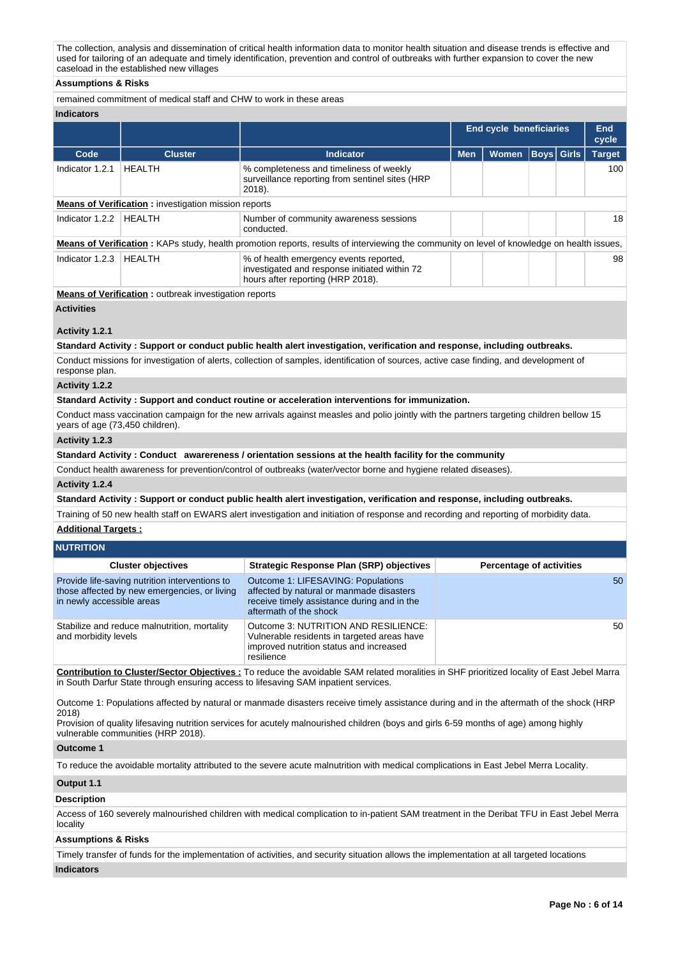The collection, analysis and dissemination of critical health information data to monitor health situation and disease trends is effective and used for tailoring of an adequate and timely identification, prevention and control of outbreaks with further expansion to cover the new caseload in the established new villages

#### **Assumptions & Risks**

remained commitment of medical staff and CHW to work in these areas

#### **Indicators**

|                 |                                                             |                                                                                                                                            | <b>End cycle beneficiaries</b> |              |  | <b>End</b><br>cycle |               |  |
|-----------------|-------------------------------------------------------------|--------------------------------------------------------------------------------------------------------------------------------------------|--------------------------------|--------------|--|---------------------|---------------|--|
| Code            | <b>Cluster</b>                                              | Indicator                                                                                                                                  | <b>Men</b>                     | <b>Women</b> |  | <b>Boys Girls</b>   | <b>Target</b> |  |
| Indicator 1.2.1 | <b>HEALTH</b>                                               | % completeness and timeliness of weekly<br>surveillance reporting from sentinel sites (HRP<br>2018).                                       |                                |              |  |                     | 100           |  |
|                 | <b>Means of Verification:</b> investigation mission reports |                                                                                                                                            |                                |              |  |                     |               |  |
| Indicator 1.2.2 | HEALTH                                                      | Number of community awareness sessions<br>conducted.                                                                                       |                                |              |  |                     | 18            |  |
|                 |                                                             | Means of Verification: KAPs study, health promotion reports, results of interviewing the community on level of knowledge on health issues, |                                |              |  |                     |               |  |
| Indicator 1.2.3 | HEALTH                                                      | % of health emergency events reported,<br>investigated and response initiated within 72<br>hours after reporting (HRP 2018).               |                                |              |  |                     | 98            |  |

**Means of Verification**: outbreak investigation reports

### **Activities**

## **Activity 1.2.1**

**Standard Activity : Support or conduct public health alert investigation, verification and response, including outbreaks.** Conduct missions for investigation of alerts, collection of samples, identification of sources, active case finding, and development of response plan.

#### **Activity 1.2.2**

**Standard Activity : Support and conduct routine or acceleration interventions for immunization.**

Conduct mass vaccination campaign for the new arrivals against measles and polio jointly with the partners targeting children bellow 15 years of age (73,450 children).

## **Activity 1.2.3**

**Standard Activity : Conduct awarereness / orientation sessions at the health facility for the community**

Conduct health awareness for prevention/control of outbreaks (water/vector borne and hygiene related diseases).

#### **Activity 1.2.4**

**Standard Activity : Support or conduct public health alert investigation, verification and response, including outbreaks.**

Training of 50 new health staff on EWARS alert investigation and initiation of response and recording and reporting of morbidity data.

## **Additional Targets :**

# **NUTRITION**

| <b>Cluster objectives</b>                                                                                                   | <b>Strategic Response Plan (SRP) objectives</b>                                                                                                         | <b>Percentage of activities</b> |
|-----------------------------------------------------------------------------------------------------------------------------|---------------------------------------------------------------------------------------------------------------------------------------------------------|---------------------------------|
| Provide life-saving nutrition interventions to<br>those affected by new emergencies, or living<br>in newly accessible areas | Outcome 1: LIFESAVING: Populations<br>affected by natural or manmade disasters<br>receive timely assistance during and in the<br>aftermath of the shock | 50                              |
| Stabilize and reduce malnutrition, mortality<br>and morbidity levels                                                        | Outcome 3: NUTRITION AND RESILIENCE:<br>Vulnerable residents in targeted areas have<br>improved nutrition status and increased<br>resilience            | 50 <sup>°</sup>                 |

**Contribution to Cluster/Sector Objectives :** To reduce the avoidable SAM related moralities in SHF prioritized locality of East Jebel Marra in South Darfur State through ensuring access to lifesaving SAM inpatient services.

Outcome 1: Populations affected by natural or manmade disasters receive timely assistance during and in the aftermath of the shock (HRP 2018)

Provision of quality lifesaving nutrition services for acutely malnourished children (boys and girls 6-59 months of age) among highly vulnerable communities (HRP 2018).

#### **Outcome 1**

To reduce the avoidable mortality attributed to the severe acute malnutrition with medical complications in East Jebel Merra Locality.

### **Output 1.1**

### **Description**

Access of 160 severely malnourished children with medical complication to in-patient SAM treatment in the Deribat TFU in East Jebel Merra locality

## **Assumptions & Risks**

Timely transfer of funds for the implementation of activities, and security situation allows the implementation at all targeted locations

### **Indicators**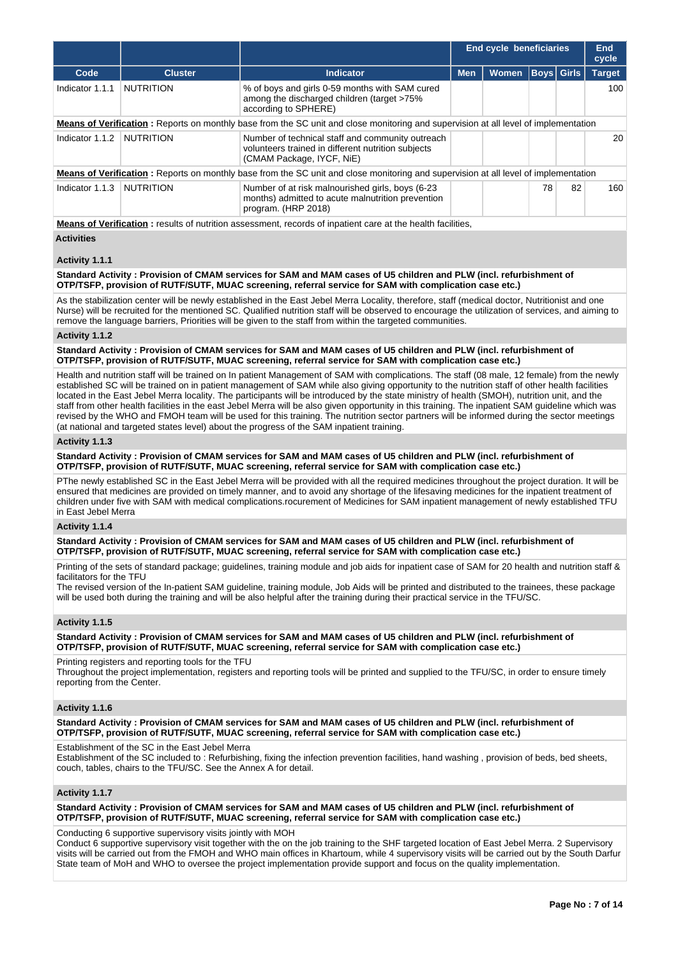|                                                                                                                    |                                                                                                                                             |                                                                                                                                             | <b>End cycle beneficiaries</b> |                                   |    |    | End<br>cycle  |  |  |
|--------------------------------------------------------------------------------------------------------------------|---------------------------------------------------------------------------------------------------------------------------------------------|---------------------------------------------------------------------------------------------------------------------------------------------|--------------------------------|-----------------------------------|----|----|---------------|--|--|
| Code                                                                                                               | <b>Cluster</b>                                                                                                                              | <b>Indicator</b>                                                                                                                            | <b>Men</b>                     | <b>Boys</b> Girls<br><b>Women</b> |    |    | <b>Target</b> |  |  |
| Indicator 1.1.1                                                                                                    | <b>NUTRITION</b>                                                                                                                            | % of boys and girls 0-59 months with SAM cured<br>among the discharged children (target >75%<br>according to SPHERE)                        |                                |                                   |    |    | 100           |  |  |
|                                                                                                                    | <b>Means of Verification</b> : Reports on monthly base from the SC unit and close monitoring and supervision at all level of implementation |                                                                                                                                             |                                |                                   |    |    |               |  |  |
| Indicator 1.1.2                                                                                                    | <b>NUTRITION</b>                                                                                                                            | Number of technical staff and community outreach<br>volunteers trained in different nutrition subjects<br>(CMAM Package, IYCF, NiE)         |                                |                                   |    |    | 20            |  |  |
|                                                                                                                    |                                                                                                                                             | <b>Means of Verification</b> : Reports on monthly base from the SC unit and close monitoring and supervision at all level of implementation |                                |                                   |    |    |               |  |  |
| Indicator 1.1.3                                                                                                    | <b>NUTRITION</b>                                                                                                                            | Number of at risk malnourished girls, boys (6-23)<br>months) admitted to acute malnutrition prevention<br>program. (HRP 2018)               |                                |                                   | 78 | 82 | 160           |  |  |
| <b>Means of Verification:</b> results of nutrition assessment, records of inpatient care at the health facilities. |                                                                                                                                             |                                                                                                                                             |                                |                                   |    |    |               |  |  |

**Means of Verification :** results of nutrition assessment, records of inpatient care at the health facilities, **Activities**

## **Activity 1.1.1**

#### **Standard Activity : Provision of CMAM services for SAM and MAM cases of U5 children and PLW (incl. refurbishment of OTP/TSFP, provision of RUTF/SUTF, MUAC screening, referral service for SAM with complication case etc.)**

As the stabilization center will be newly established in the East Jebel Merra Locality, therefore, staff (medical doctor, Nutritionist and one Nurse) will be recruited for the mentioned SC. Qualified nutrition staff will be observed to encourage the utilization of services, and aiming to remove the language barriers, Priorities will be given to the staff from within the targeted communities.

### **Activity 1.1.2**

**Standard Activity : Provision of CMAM services for SAM and MAM cases of U5 children and PLW (incl. refurbishment of OTP/TSFP, provision of RUTF/SUTF, MUAC screening, referral service for SAM with complication case etc.)**

Health and nutrition staff will be trained on In patient Management of SAM with complications. The staff (08 male, 12 female) from the newly established SC will be trained on in patient management of SAM while also giving opportunity to the nutrition staff of other health facilities located in the East Jebel Merra locality. The participants will be introduced by the state ministry of health (SMOH), nutrition unit, and the staff from other health facilities in the east Jebel Merra will be also given opportunity in this training. The inpatient SAM guideline which was revised by the WHO and FMOH team will be used for this training. The nutrition sector partners will be informed during the sector meetings (at national and targeted states level) about the progress of the SAM inpatient training.

## **Activity 1.1.3**

#### **Standard Activity : Provision of CMAM services for SAM and MAM cases of U5 children and PLW (incl. refurbishment of OTP/TSFP, provision of RUTF/SUTF, MUAC screening, referral service for SAM with complication case etc.)**

PThe newly established SC in the East Jebel Merra will be provided with all the required medicines throughout the project duration. It will be ensured that medicines are provided on timely manner, and to avoid any shortage of the lifesaving medicines for the inpatient treatment of children under five with SAM with medical complications.rocurement of Medicines for SAM inpatient management of newly established TFU in East Jebel Merra

### **Activity 1.1.4**

**Standard Activity : Provision of CMAM services for SAM and MAM cases of U5 children and PLW (incl. refurbishment of OTP/TSFP, provision of RUTF/SUTF, MUAC screening, referral service for SAM with complication case etc.)**

Printing of the sets of standard package; guidelines, training module and job aids for inpatient case of SAM for 20 health and nutrition staff & facilitators for the TFU

The revised version of the In-patient SAM guideline, training module, Job Aids will be printed and distributed to the trainees, these package will be used both during the training and will be also helpful after the training during their practical service in the TFU/SC.

## **Activity 1.1.5**

**Standard Activity : Provision of CMAM services for SAM and MAM cases of U5 children and PLW (incl. refurbishment of OTP/TSFP, provision of RUTF/SUTF, MUAC screening, referral service for SAM with complication case etc.)**

Printing registers and reporting tools for the TFU

Throughout the project implementation, registers and reporting tools will be printed and supplied to the TFU/SC, in order to ensure timely reporting from the Center.

### **Activity 1.1.6**

**Standard Activity : Provision of CMAM services for SAM and MAM cases of U5 children and PLW (incl. refurbishment of OTP/TSFP, provision of RUTF/SUTF, MUAC screening, referral service for SAM with complication case etc.)**

Establishment of the SC in the East Jebel Merra

Establishment of the SC included to : Refurbishing, fixing the infection prevention facilities, hand washing , provision of beds, bed sheets, couch, tables, chairs to the TFU/SC. See the Annex A for detail.

## **Activity 1.1.7**

**Standard Activity : Provision of CMAM services for SAM and MAM cases of U5 children and PLW (incl. refurbishment of OTP/TSFP, provision of RUTF/SUTF, MUAC screening, referral service for SAM with complication case etc.)**

Conducting 6 supportive supervisory visits jointly with MOH

Conduct 6 supportive supervisory visit together with the on the job training to the SHF targeted location of East Jebel Merra. 2 Supervisory visits will be carried out from the FMOH and WHO main offices in Khartoum, while 4 supervisory visits will be carried out by the South Darfur State team of MoH and WHO to oversee the project implementation provide support and focus on the quality implementation.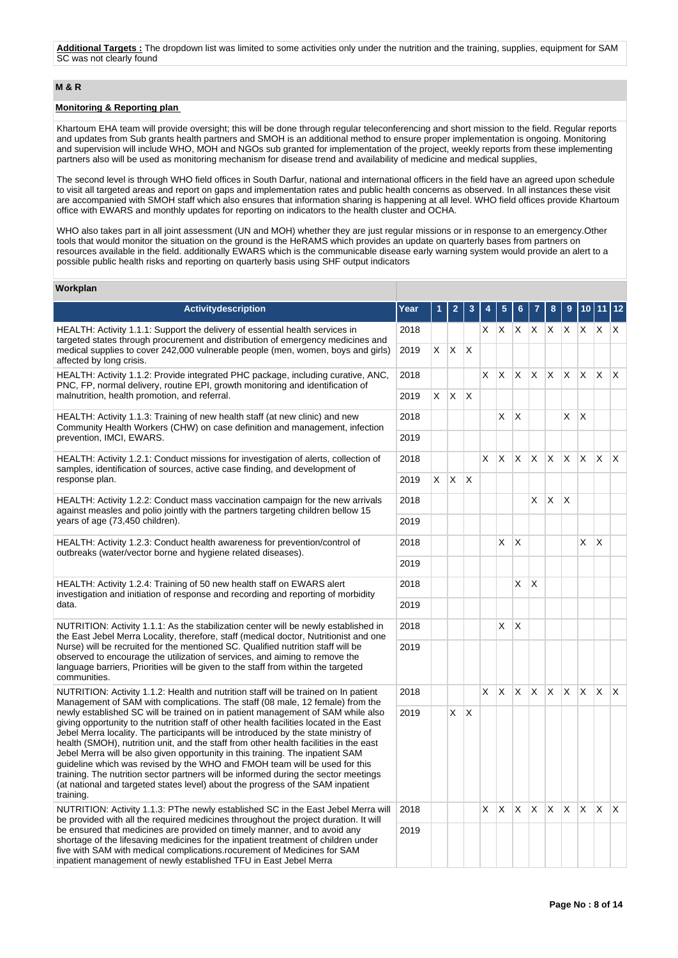**Additional Targets :** The dropdown list was limited to some activities only under the nutrition and the training, supplies, equipment for SAM SC was not clearly found

# **M & R**

### **Monitoring & Reporting plan**

Khartoum EHA team will provide oversight; this will be done through regular teleconferencing and short mission to the field. Regular reports and updates from Sub grants health partners and SMOH is an additional method to ensure proper implementation is ongoing. Monitoring and supervision will include WHO, MOH and NGOs sub granted for implementation of the project, weekly reports from these implementing partners also will be used as monitoring mechanism for disease trend and availability of medicine and medical supplies,

The second level is through WHO field offices in South Darfur, national and international officers in the field have an agreed upon schedule to visit all targeted areas and report on gaps and implementation rates and public health concerns as observed. In all instances these visit are accompanied with SMOH staff which also ensures that information sharing is happening at all level. WHO field offices provide Khartoum office with EWARS and monthly updates for reporting on indicators to the health cluster and OCHA.

WHO also takes part in all joint assessment (UN and MOH) whether they are just regular missions or in response to an emergency. Other tools that would monitor the situation on the ground is the HeRAMS which provides an update on quarterly bases from partners on resources available in the field. additionally EWARS which is the communicable disease early warning system would provide an alert to a possible public health risks and reporting on quarterly basis using SHF output indicators

### **Workplan**

| Activitydescription                                                                                                                                                                                                                                                                                                                                                                                                                                                                                                                                                                                                                                                                                                                                                                                | Year |   | 2  |                         |    |          |              |                 |    |    | 10       |                         | $12$         |
|----------------------------------------------------------------------------------------------------------------------------------------------------------------------------------------------------------------------------------------------------------------------------------------------------------------------------------------------------------------------------------------------------------------------------------------------------------------------------------------------------------------------------------------------------------------------------------------------------------------------------------------------------------------------------------------------------------------------------------------------------------------------------------------------------|------|---|----|-------------------------|----|----------|--------------|-----------------|----|----|----------|-------------------------|--------------|
| 2018<br>HEALTH: Activity 1.1.1: Support the delivery of essential health services in<br>targeted states through procurement and distribution of emergency medicines and<br>medical supplies to cover 242,000 vulnerable people (men, women, boys and girls)<br>2019<br>affected by long crisis.                                                                                                                                                                                                                                                                                                                                                                                                                                                                                                    |      |   |    |                         | X. | $\times$ |              | $X$ $X$ $X$ $X$ |    |    |          | $X$ $X$ $X$             |              |
|                                                                                                                                                                                                                                                                                                                                                                                                                                                                                                                                                                                                                                                                                                                                                                                                    |      | X | X  | X                       |    |          |              |                 |    |    |          |                         |              |
| HEALTH: Activity 1.1.2: Provide integrated PHC package, including curative, ANC,<br>PNC, FP, normal delivery, routine EPI, growth monitoring and identification of                                                                                                                                                                                                                                                                                                                                                                                                                                                                                                                                                                                                                                 | 2018 |   |    |                         | X. | $\times$ | X            | $\mathsf{X}$    | X. | X  | <b>X</b> | $\mathsf{X} \mathsf{X}$ |              |
| malnutrition, health promotion, and referral.                                                                                                                                                                                                                                                                                                                                                                                                                                                                                                                                                                                                                                                                                                                                                      | 2019 | X | X  | $\mathsf{X}$            |    |          |              |                 |    |    |          |                         |              |
| HEALTH: Activity 1.1.3: Training of new health staff (at new clinic) and new<br>Community Health Workers (CHW) on case definition and management, infection                                                                                                                                                                                                                                                                                                                                                                                                                                                                                                                                                                                                                                        | 2018 |   |    |                         |    | X        | X            |                 |    | X  | X        |                         |              |
| prevention, IMCI, EWARS.                                                                                                                                                                                                                                                                                                                                                                                                                                                                                                                                                                                                                                                                                                                                                                           | 2019 |   |    |                         |    |          |              |                 |    |    |          |                         |              |
| HEALTH: Activity 1.2.1: Conduct missions for investigation of alerts, collection of<br>samples, identification of sources, active case finding, and development of                                                                                                                                                                                                                                                                                                                                                                                                                                                                                                                                                                                                                                 | 2018 |   |    |                         | X. | Χ        | Χ            | X               | X. | X  | X.       | $\mathsf{X}$            | $\mathsf{X}$ |
| response plan.                                                                                                                                                                                                                                                                                                                                                                                                                                                                                                                                                                                                                                                                                                                                                                                     | 2019 | X | Χ  | $\mathsf{I} \mathsf{X}$ |    |          |              |                 |    |    |          |                         |              |
| HEALTH: Activity 1.2.2: Conduct mass vaccination campaign for the new arrivals<br>against measles and polio jointly with the partners targeting children bellow 15                                                                                                                                                                                                                                                                                                                                                                                                                                                                                                                                                                                                                                 | 2018 |   |    |                         |    |          |              | X               | X. | X  |          |                         |              |
| years of age (73,450 children).                                                                                                                                                                                                                                                                                                                                                                                                                                                                                                                                                                                                                                                                                                                                                                    | 2019 |   |    |                         |    |          |              |                 |    |    |          |                         |              |
| HEALTH: Activity 1.2.3: Conduct health awareness for prevention/control of<br>outbreaks (water/vector borne and hygiene related diseases).                                                                                                                                                                                                                                                                                                                                                                                                                                                                                                                                                                                                                                                         | 2018 |   |    |                         |    | X        | $\mathsf{X}$ |                 |    |    | X        | $\mathsf{X}$            |              |
|                                                                                                                                                                                                                                                                                                                                                                                                                                                                                                                                                                                                                                                                                                                                                                                                    | 2019 |   |    |                         |    |          |              |                 |    |    |          |                         |              |
| HEALTH: Activity 1.2.4: Training of 50 new health staff on EWARS alert<br>investigation and initiation of response and recording and reporting of morbidity                                                                                                                                                                                                                                                                                                                                                                                                                                                                                                                                                                                                                                        | 2018 |   |    |                         |    |          | X            | $\mathsf{X}$    |    |    |          |                         |              |
| data.                                                                                                                                                                                                                                                                                                                                                                                                                                                                                                                                                                                                                                                                                                                                                                                              | 2019 |   |    |                         |    |          |              |                 |    |    |          |                         |              |
| NUTRITION: Activity 1.1.1: As the stabilization center will be newly established in<br>the East Jebel Merra Locality, therefore, staff (medical doctor, Nutritionist and one                                                                                                                                                                                                                                                                                                                                                                                                                                                                                                                                                                                                                       | 2018 |   |    |                         |    | X        | $\mathsf{X}$ |                 |    |    |          |                         |              |
| Nurse) will be recruited for the mentioned SC. Qualified nutrition staff will be<br>observed to encourage the utilization of services, and aiming to remove the<br>language barriers, Priorities will be given to the staff from within the targeted<br>communities.                                                                                                                                                                                                                                                                                                                                                                                                                                                                                                                               | 2019 |   |    |                         |    |          |              |                 |    |    |          |                         |              |
| NUTRITION: Activity 1.1.2: Health and nutrition staff will be trained on In patient                                                                                                                                                                                                                                                                                                                                                                                                                                                                                                                                                                                                                                                                                                                | 2018 |   |    |                         | X  | Χ        | X            | X               | X. | X  | X.       | $\mathsf{X}$            | $\mathsf{X}$ |
| Management of SAM with complications. The staff (08 male, 12 female) from the<br>newly established SC will be trained on in patient management of SAM while also<br>giving opportunity to the nutrition staff of other health facilities located in the East<br>Jebel Merra locality. The participants will be introduced by the state ministry of<br>health (SMOH), nutrition unit, and the staff from other health facilities in the east<br>Jebel Merra will be also given opportunity in this training. The inpatient SAM<br>guideline which was revised by the WHO and FMOH team will be used for this<br>training. The nutrition sector partners will be informed during the sector meetings<br>(at national and targeted states level) about the progress of the SAM inpatient<br>training. |      |   | X. | $\mathsf{X}$            |    |          |              |                 |    |    |          |                         |              |
| NUTRITION: Activity 1.1.3: PThe newly established SC in the East Jebel Merra will<br>be provided with all the required medicines throughout the project duration. It will                                                                                                                                                                                                                                                                                                                                                                                                                                                                                                                                                                                                                          | 2018 |   |    |                         | X. | X        | $\mathsf{X}$ | $\mathsf{X}$    | X  | X. | X.       | $\mathsf{X}$            | $\mathsf{X}$ |
| be ensured that medicines are provided on timely manner, and to avoid any<br>shortage of the lifesaving medicines for the inpatient treatment of children under<br>five with SAM with medical complications.rocurement of Medicines for SAM<br>inpatient management of newly established TFU in East Jebel Merra                                                                                                                                                                                                                                                                                                                                                                                                                                                                                   |      |   |    |                         |    |          |              |                 |    |    |          |                         |              |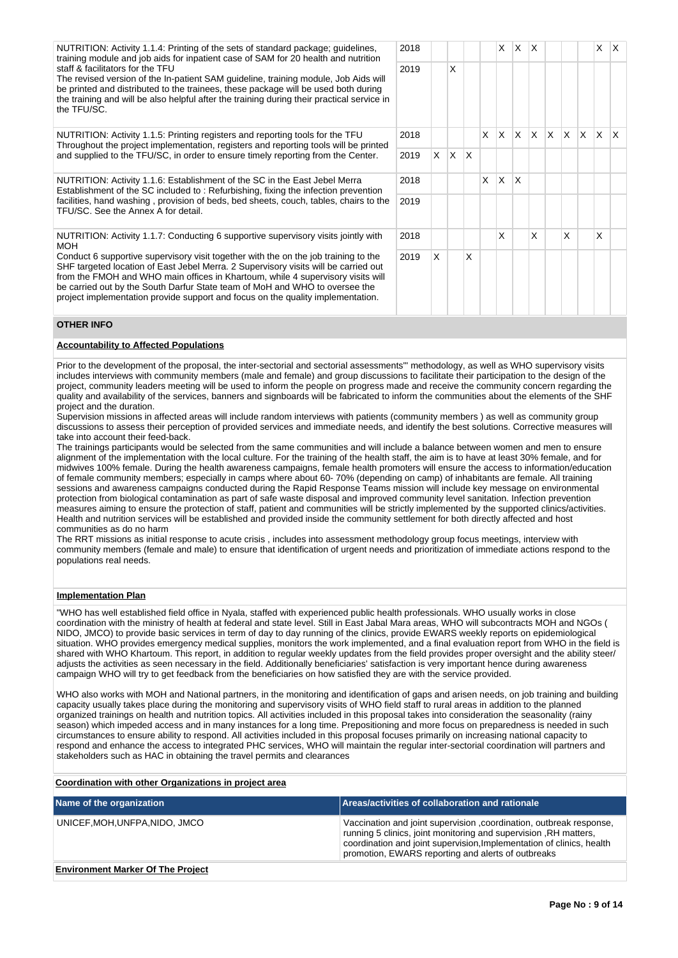NUTRITION: Activity 1.1.4: Printing of the sets of standard package; guidelines, training module and job aids for inpatient case of SAM for 20 health and nutrition staff & facilitators for the TFU

The revised version of the In-patient SAM guideline, training module, Job Aids will be printed and distributed to the trainees, these package will be used both during the training and will be also helpful after the training during their practical service in the TFU/SC.

NUTRITION: Activity 1.1.5: Printing registers and reporting tools for the TFU Throughout the project implementation, registers and reporting tools will be printed and supplied to the TFU/SC, in order to ensure timely reporting from the Center.

NUTRITION: Activity 1.1.6: Establishment of the SC in the East Jebel Merra Establishment of the SC included to : Refurbishing, fixing the infection prevention facilities, hand washing , provision of beds, bed sheets, couch, tables, chairs to the TFU/SC. See the Annex A for detail.

NUTRITION: Activity 1.1.7: Conducting 6 supportive supervisory visits jointly with MOH

Conduct 6 supportive supervisory visit together with the on the job training to the SHF targeted location of East Jebel Merra. 2 Supervisory visits will be carried out from the FMOH and WHO main offices in Khartoum, while 4 supervisory visits will be carried out by the South Darfur State team of MoH and WHO to oversee the project implementation provide support and focus on the quality implementation.

## **OTHER INFO**

## **Accountability to Affected Populations**

Prior to the development of the proposal, the inter-sectorial and sectorial assessments"' methodology, as well as WHO supervisory visits includes interviews with community members (male and female) and group discussions to facilitate their participation to the design of the project, community leaders meeting will be used to inform the people on progress made and receive the community concern regarding the quality and availability of the services, banners and signboards will be fabricated to inform the communities about the elements of the SHF project and the duration.

Supervision missions in affected areas will include random interviews with patients (community members ) as well as community group discussions to assess their perception of provided services and immediate needs, and identify the best solutions. Corrective measures will take into account their feed-back.

The trainings participants would be selected from the same communities and will include a balance between women and men to ensure alignment of the implementation with the local culture. For the training of the health staff, the aim is to have at least 30% female, and for midwives 100% female. During the health awareness campaigns, female health promoters will ensure the access to information/education of female community members; especially in camps where about 60- 70% (depending on camp) of inhabitants are female. All training sessions and awareness campaigns conducted during the Rapid Response Teams mission will include key message on environmental protection from biological contamination as part of safe waste disposal and improved community level sanitation. Infection prevention measures aiming to ensure the protection of staff, patient and communities will be strictly implemented by the supported clinics/activities. Health and nutrition services will be established and provided inside the community settlement for both directly affected and host communities as do no harm

The RRT missions as initial response to acute crisis , includes into assessment methodology group focus meetings, interview with community members (female and male) to ensure that identification of urgent needs and prioritization of immediate actions respond to the populations real needs.

### **Implementation Plan**

"WHO has well established field office in Nyala, staffed with experienced public health professionals. WHO usually works in close coordination with the ministry of health at federal and state level. Still in East Jabal Mara areas, WHO will subcontracts MOH and NGOs ( NIDO, JMCO) to provide basic services in term of day to day running of the clinics, provide EWARS weekly reports on epidemiological situation. WHO provides emergency medical supplies, monitors the work implemented, and a final evaluation report from WHO in the field is shared with WHO Khartoum. This report, in addition to regular weekly updates from the field provides proper oversight and the ability steer/ adjusts the activities as seen necessary in the field. Additionally beneficiaries' satisfaction is very important hence during awareness campaign WHO will try to get feedback from the beneficiaries on how satisfied they are with the service provided.

WHO also works with MOH and National partners, in the monitoring and identification of gaps and arisen needs, on job training and building capacity usually takes place during the monitoring and supervisory visits of WHO field staff to rural areas in addition to the planned organized trainings on health and nutrition topics. All activities included in this proposal takes into consideration the seasonality (rainy season) which impeded access and in many instances for a long time. Prepositioning and more focus on preparedness is needed in such circumstances to ensure ability to respond. All activities included in this proposal focuses primarily on increasing national capacity to respond and enhance the access to integrated PHC services, WHO will maintain the regular inter-sectorial coordination will partners and stakeholders such as HAC in obtaining the travel permits and clearances

### **Coordination with other Organizations in project area**

| Name of the organization                 | Areas/activities of collaboration and rationale                                                                                                                                                                                                                        |
|------------------------------------------|------------------------------------------------------------------------------------------------------------------------------------------------------------------------------------------------------------------------------------------------------------------------|
| UNICEF, MOH, UNFPA, NIDO, JMCO           | Vaccination and joint supervision, coordination, outbreak response,<br>running 5 clinics, joint monitoring and supervision, RH matters,<br>coordination and joint supervision, Implementation of clinics, health<br>promotion, EWARS reporting and alerts of outbreaks |
| <b>Environment Marker Of The Project</b> |                                                                                                                                                                                                                                                                        |

|    | 2019 |   | X |   |    |         |            |   |         |   |   |   |   |
|----|------|---|---|---|----|---------|------------|---|---------|---|---|---|---|
|    | 2018 |   |   |   | X  | X       | $x \mid x$ |   | $X$ $X$ |   | X | X | X |
|    | 2019 | X | X | X |    |         |            |   |         |   |   |   |   |
|    | 2018 |   |   |   | X. | $X$ $X$ |            |   |         |   |   |   |   |
| į. | 2019 |   |   |   |    |         |            |   |         |   |   |   |   |
|    | 2018 |   |   |   |    | Χ       |            | Χ |         | Χ |   | X |   |
|    | 2019 | X |   | X |    |         |            |   |         |   |   |   |   |

2018 X X X X X X X X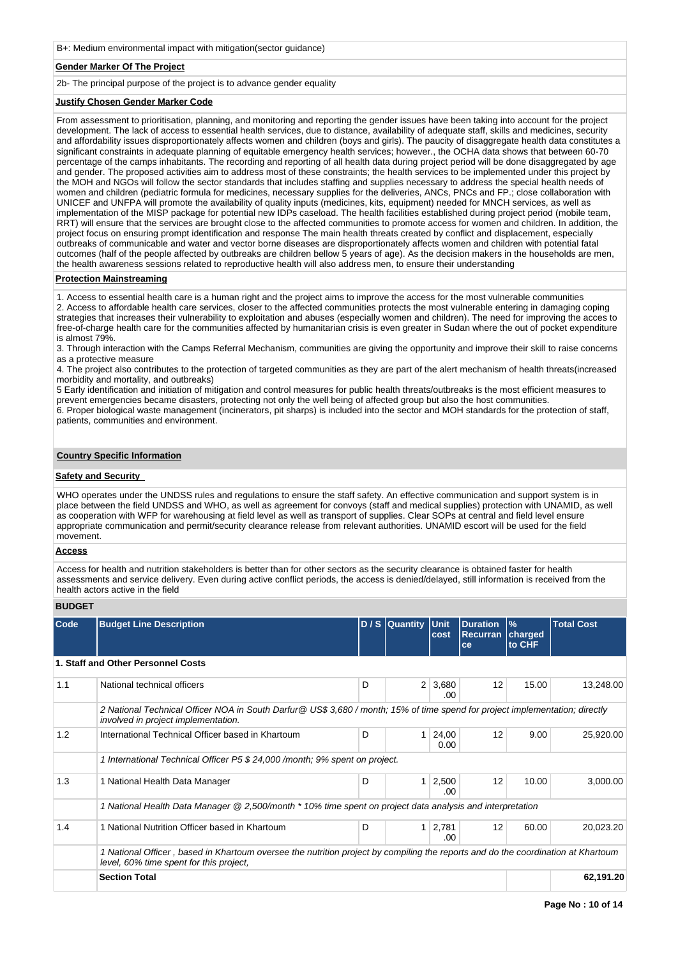B+: Medium environmental impact with mitigation(sector guidance)

### **Gender Marker Of The Project**

2b- The principal purpose of the project is to advance gender equality

### **Justify Chosen Gender Marker Code**

From assessment to prioritisation, planning, and monitoring and reporting the gender issues have been taking into account for the project development. The lack of access to essential health services, due to distance, availability of adequate staff, skills and medicines, security and affordability issues disproportionately affects women and children (boys and girls). The paucity of disaggregate health data constitutes a significant constraints in adequate planning of equitable emergency health services; however., the OCHA data shows that between 60-70 percentage of the camps inhabitants. The recording and reporting of all health data during project period will be done disaggregated by age and gender. The proposed activities aim to address most of these constraints; the health services to be implemented under this project by the MOH and NGOs will follow the sector standards that includes staffing and supplies necessary to address the special health needs of women and children (pediatric formula for medicines, necessary supplies for the deliveries, ANCs, PNCs and FP.; close collaboration with UNICEF and UNFPA will promote the availability of quality inputs (medicines, kits, equipment) needed for MNCH services, as well as implementation of the MISP package for potential new IDPs caseload. The health facilities established during project period (mobile team, RRT) will ensure that the services are brought close to the affected communities to promote access for women and children. In addition, the project focus on ensuring prompt identification and response The main health threats created by conflict and displacement, especially outbreaks of communicable and water and vector borne diseases are disproportionately affects women and children with potential fatal outcomes (half of the people affected by outbreaks are children bellow 5 years of age). As the decision makers in the households are men, the health awareness sessions related to reproductive health will also address men, to ensure their understanding

### **Protection Mainstreaming**

1. Access to essential health care is a human right and the project aims to improve the access for the most vulnerable communities 2. Access to affordable health care services, closer to the affected communities protects the most vulnerable entering in damaging coping strategies that increases their vulnerability to exploitation and abuses (especially women and children). The need for improving the acces to free-of-charge health care for the communities affected by humanitarian crisis is even greater in Sudan where the out of pocket expenditure is almost 79%.

3. Through interaction with the Camps Referral Mechanism, communities are giving the opportunity and improve their skill to raise concerns as a protective measure

4. The project also contributes to the protection of targeted communities as they are part of the alert mechanism of health threats(increased morbidity and mortality, and outbreaks)

5 Early identification and initiation of mitigation and control measures for public health threats/outbreaks is the most efficient measures to prevent emergencies became disasters, protecting not only the well being of affected group but also the host communities.

6. Proper biological waste management (incinerators, pit sharps) is included into the sector and MOH standards for the protection of staff, patients, communities and environment.

### **Country Specific Information**

### **Safety and Security**

WHO operates under the UNDSS rules and regulations to ensure the staff safety. An effective communication and support system is in place between the field UNDSS and WHO, as well as agreement for convoys (staff and medical supplies) protection with UNAMID, as well as cooperation with WFP for warehousing at field level as well as transport of supplies. Clear SOPs at central and field level ensure appropriate communication and permit/security clearance release from relevant authorities. UNAMID escort will be used for the field movement.

#### **Access**

Access for health and nutrition stakeholders is better than for other sectors as the security clearance is obtained faster for health assessments and service delivery. Even during active conflict periods, the access is denied/delayed, still information is received from the health actors active in the field

## **BUDGET**

| Code | <b>Budget Line Description</b>                                                                                                                                              |   | $D/S$ Quantity | <b>Unit</b><br>cost | <b>Duration</b><br><b>Recurran</b><br>ce | $\frac{9}{6}$<br>charged<br>to CHF | <b>Total Cost</b> |
|------|-----------------------------------------------------------------------------------------------------------------------------------------------------------------------------|---|----------------|---------------------|------------------------------------------|------------------------------------|-------------------|
|      | 1. Staff and Other Personnel Costs                                                                                                                                          |   |                |                     |                                          |                                    |                   |
| 1.1  | National technical officers                                                                                                                                                 | D | 2 <sup>1</sup> | 3,680<br>.00        | 12                                       | 15.00                              | 13,248.00         |
|      | 2 National Technical Officer NOA in South Darfur@ US\$ 3,680 / month; 15% of time spend for project implementation; directly<br>involved in project implementation.         |   |                |                     |                                          |                                    |                   |
| 1.2  | International Technical Officer based in Khartoum                                                                                                                           | D | 1              | 24,00<br>0.00       | 12                                       | 9.00                               | 25,920.00         |
|      | 1 International Technical Officer P5 \$ 24,000 /month; 9% spent on project.                                                                                                 |   |                |                     |                                          |                                    |                   |
| 1.3  | 1 National Health Data Manager                                                                                                                                              | D | 1 <sup>1</sup> | 2,500<br>.00        | 12                                       | 10.00                              | 3,000.00          |
|      | 1 National Health Data Manager @ 2,500/month * 10% time spent on project data analysis and interpretation                                                                   |   |                |                     |                                          |                                    |                   |
| 1.4  | 1 National Nutrition Officer based in Khartoum                                                                                                                              | D | 1              | 2,781<br>.00        | 12                                       | 60.00                              | 20,023.20         |
|      | 1 National Officer, based in Khartoum oversee the nutrition project by compiling the reports and do the coordination at Khartoum<br>level, 60% time spent for this project, |   |                |                     |                                          |                                    |                   |
|      | <b>Section Total</b>                                                                                                                                                        |   |                |                     |                                          |                                    | 62,191.20         |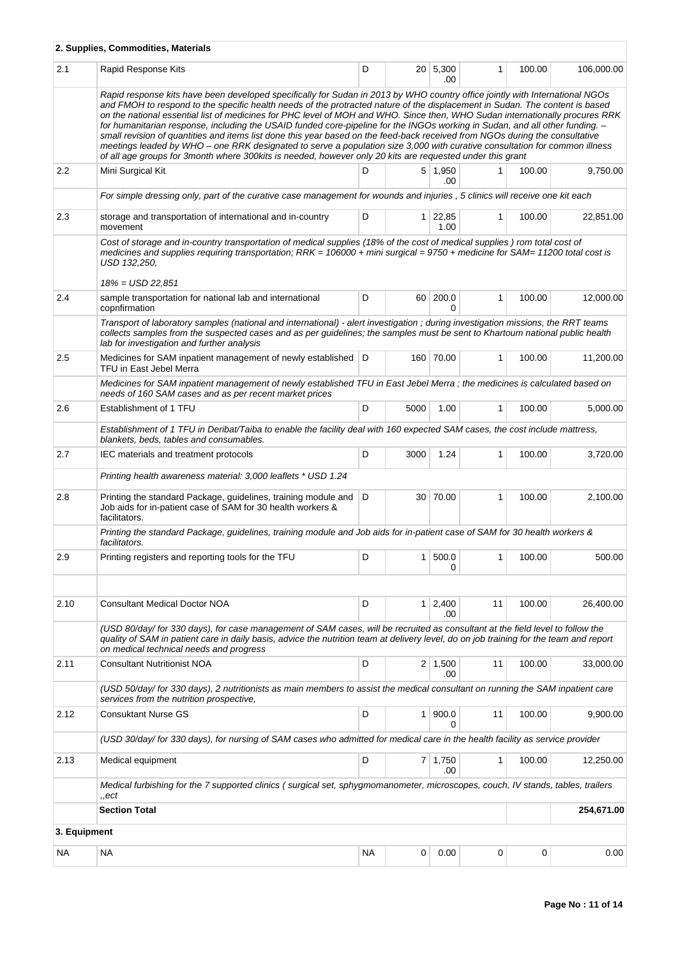|              | 2. Supplies, Commodities, Materials                                                                                                                                                                                                                                                                                                                                                                                                                                                                                                                                                                                                                                                                                                                                                                                                                                                                     |                                                                                                                                    |              |                         |              |        |            |  |  |  |
|--------------|---------------------------------------------------------------------------------------------------------------------------------------------------------------------------------------------------------------------------------------------------------------------------------------------------------------------------------------------------------------------------------------------------------------------------------------------------------------------------------------------------------------------------------------------------------------------------------------------------------------------------------------------------------------------------------------------------------------------------------------------------------------------------------------------------------------------------------------------------------------------------------------------------------|------------------------------------------------------------------------------------------------------------------------------------|--------------|-------------------------|--------------|--------|------------|--|--|--|
| 2.1          | Rapid Response Kits                                                                                                                                                                                                                                                                                                                                                                                                                                                                                                                                                                                                                                                                                                                                                                                                                                                                                     | D                                                                                                                                  |              | 20   5,300<br>.00       | $\mathbf{1}$ | 100.00 | 106,000.00 |  |  |  |
|              | Rapid response kits have been developed specifically for Sudan in 2013 by WHO country office jointly with International NGOs<br>and FMOH to respond to the specific health needs of the protracted nature of the displacement in Sudan. The content is based<br>on the national essential list of medicines for PHC level of MOH and WHO. Since then, WHO Sudan internationally procures RRK<br>for humanitarian response, including the USAID funded core-pipeline for the INGOs working in Sudan, and all other funding. -<br>small revision of quantities and items list done this year based on the feed-back received from NGOs during the consultative<br>meetings leaded by WHO - one RRK designated to serve a population size 3,000 with curative consultation for common illness<br>of all age groups for 3month where 300kits is needed, however only 20 kits are requested under this grant |                                                                                                                                    |              |                         |              |        |            |  |  |  |
| 2.2          | Mini Surgical Kit                                                                                                                                                                                                                                                                                                                                                                                                                                                                                                                                                                                                                                                                                                                                                                                                                                                                                       | 100.00                                                                                                                             | 9,750.00     |                         |              |        |            |  |  |  |
|              |                                                                                                                                                                                                                                                                                                                                                                                                                                                                                                                                                                                                                                                                                                                                                                                                                                                                                                         | .00<br>For simple dressing only, part of the curative case management for wounds and injuries, 5 clinics will receive one kit each |              |                         |              |        |            |  |  |  |
| 2.3          | storage and transportation of international and in-country<br>movement                                                                                                                                                                                                                                                                                                                                                                                                                                                                                                                                                                                                                                                                                                                                                                                                                                  | D                                                                                                                                  |              | $1 \quad 22,85$<br>1.00 | 1            | 100.00 | 22,851.00  |  |  |  |
|              | Cost of storage and in-country transportation of medical supplies (18% of the cost of medical supplies) rom total cost of<br>medicines and supplies requiring transportation; RRK = 106000 + mini surgical = 9750 + medicine for SAM= 11200 total cost is<br>USD 132,250,<br>$18\% =$ USD 22,851                                                                                                                                                                                                                                                                                                                                                                                                                                                                                                                                                                                                        |                                                                                                                                    |              |                         |              |        |            |  |  |  |
| 2.4          | sample transportation for national lab and international<br>copnfirmation                                                                                                                                                                                                                                                                                                                                                                                                                                                                                                                                                                                                                                                                                                                                                                                                                               | D                                                                                                                                  |              | 60 200.0<br>0           | $\mathbf{1}$ | 100.00 | 12,000.00  |  |  |  |
|              | Transport of laboratory samples (national and international) - alert investigation; during investigation missions, the RRT teams<br>collects samples from the suspected cases and as per guidelines; the samples must be sent to Khartoum national public health<br>lab for investigation and further analysis                                                                                                                                                                                                                                                                                                                                                                                                                                                                                                                                                                                          |                                                                                                                                    |              |                         |              |        |            |  |  |  |
| 2.5          | Medicines for SAM inpatient management of newly established D<br>TFU in East Jebel Merra                                                                                                                                                                                                                                                                                                                                                                                                                                                                                                                                                                                                                                                                                                                                                                                                                |                                                                                                                                    |              | 160 70.00               | $\mathbf{1}$ | 100.00 | 11,200.00  |  |  |  |
|              | Medicines for SAM inpatient management of newly established TFU in East Jebel Merra; the medicines is calculated based on<br>needs of 160 SAM cases and as per recent market prices                                                                                                                                                                                                                                                                                                                                                                                                                                                                                                                                                                                                                                                                                                                     |                                                                                                                                    |              |                         |              |        |            |  |  |  |
| 2.6          | Establishment of 1 TFU                                                                                                                                                                                                                                                                                                                                                                                                                                                                                                                                                                                                                                                                                                                                                                                                                                                                                  | D                                                                                                                                  | 5000         | 1.00                    | $\mathbf{1}$ | 100.00 | 5,000.00   |  |  |  |
|              | Establishment of 1 TFU in Deribat/Taiba to enable the facility deal with 160 expected SAM cases, the cost include mattress,<br>blankets, beds, tables and consumables.                                                                                                                                                                                                                                                                                                                                                                                                                                                                                                                                                                                                                                                                                                                                  |                                                                                                                                    |              |                         |              |        |            |  |  |  |
| 2.7          | IEC materials and treatment protocols                                                                                                                                                                                                                                                                                                                                                                                                                                                                                                                                                                                                                                                                                                                                                                                                                                                                   | D                                                                                                                                  | 3000         | 1.24                    | 1            | 100.00 | 3,720.00   |  |  |  |
|              | Printing health awareness material: 3,000 leaflets * USD 1.24                                                                                                                                                                                                                                                                                                                                                                                                                                                                                                                                                                                                                                                                                                                                                                                                                                           |                                                                                                                                    |              |                         |              |        |            |  |  |  |
| 2.8          | Printing the standard Package, guidelines, training module and<br>Job aids for in-patient case of SAM for 30 health workers &<br>facilitators.                                                                                                                                                                                                                                                                                                                                                                                                                                                                                                                                                                                                                                                                                                                                                          | I D                                                                                                                                |              | 30 70.00                | $\mathbf{1}$ | 100.00 | 2,100.00   |  |  |  |
|              | Printing the standard Package, guidelines, training module and Job aids for in-patient case of SAM for 30 health workers &<br>facilitators.                                                                                                                                                                                                                                                                                                                                                                                                                                                                                                                                                                                                                                                                                                                                                             |                                                                                                                                    |              |                         |              |        |            |  |  |  |
| 2.9          | Printing registers and reporting tools for the TFU                                                                                                                                                                                                                                                                                                                                                                                                                                                                                                                                                                                                                                                                                                                                                                                                                                                      | D                                                                                                                                  |              | 1   500.0  <br>0        |              | 100.00 | 500.00     |  |  |  |
|              |                                                                                                                                                                                                                                                                                                                                                                                                                                                                                                                                                                                                                                                                                                                                                                                                                                                                                                         |                                                                                                                                    |              |                         |              |        |            |  |  |  |
| 2.10         | <b>Consultant Medical Doctor NOA</b>                                                                                                                                                                                                                                                                                                                                                                                                                                                                                                                                                                                                                                                                                                                                                                                                                                                                    | D                                                                                                                                  | $\mathbf{1}$ | 2,400<br>.00            | 11           | 100.00 | 26,400.00  |  |  |  |
|              | (USD 80/day/ for 330 days), for case management of SAM cases, will be recruited as consultant at the field level to follow the<br>quality of SAM in patient care in daily basis, advice the nutrition team at delivery level, do on job training for the team and report<br>on medical technical needs and progress                                                                                                                                                                                                                                                                                                                                                                                                                                                                                                                                                                                     |                                                                                                                                    |              |                         |              |        |            |  |  |  |
| 2.11         | <b>Consultant Nutritionist NOA</b>                                                                                                                                                                                                                                                                                                                                                                                                                                                                                                                                                                                                                                                                                                                                                                                                                                                                      | D                                                                                                                                  |              | $2 \mid 1,500$<br>.00   | 11           | 100.00 | 33,000.00  |  |  |  |
|              | (USD 50/day/ for 330 days), 2 nutritionists as main members to assist the medical consultant on running the SAM inpatient care<br>services from the nutrition prospective,                                                                                                                                                                                                                                                                                                                                                                                                                                                                                                                                                                                                                                                                                                                              |                                                                                                                                    |              |                         |              |        |            |  |  |  |
| 2.12         | <b>Consuktant Nurse GS</b>                                                                                                                                                                                                                                                                                                                                                                                                                                                                                                                                                                                                                                                                                                                                                                                                                                                                              | D                                                                                                                                  | 1            | 900.0<br>0              | 11           | 100.00 | 9,900.00   |  |  |  |
|              | (USD 30/day/ for 330 days), for nursing of SAM cases who admitted for medical care in the health facility as service provider                                                                                                                                                                                                                                                                                                                                                                                                                                                                                                                                                                                                                                                                                                                                                                           |                                                                                                                                    |              |                         |              |        |            |  |  |  |
| 2.13         | Medical equipment                                                                                                                                                                                                                                                                                                                                                                                                                                                                                                                                                                                                                                                                                                                                                                                                                                                                                       | D                                                                                                                                  |              | $7 \mid 1,750$<br>.00   | 1            | 100.00 | 12,250.00  |  |  |  |
|              | Medical furbishing for the 7 supported clinics (surgical set, sphygmomanometer, microscopes, couch, IV stands, tables, trailers<br>"ect                                                                                                                                                                                                                                                                                                                                                                                                                                                                                                                                                                                                                                                                                                                                                                 |                                                                                                                                    |              |                         |              |        |            |  |  |  |
|              | <b>Section Total</b>                                                                                                                                                                                                                                                                                                                                                                                                                                                                                                                                                                                                                                                                                                                                                                                                                                                                                    |                                                                                                                                    |              |                         |              |        | 254,671.00 |  |  |  |
| 3. Equipment |                                                                                                                                                                                                                                                                                                                                                                                                                                                                                                                                                                                                                                                                                                                                                                                                                                                                                                         |                                                                                                                                    |              |                         |              |        |            |  |  |  |
| ΝA           | <b>NA</b>                                                                                                                                                                                                                                                                                                                                                                                                                                                                                                                                                                                                                                                                                                                                                                                                                                                                                               | <b>NA</b>                                                                                                                          | 0            | 0.00                    | 0            | 0      | 0.00       |  |  |  |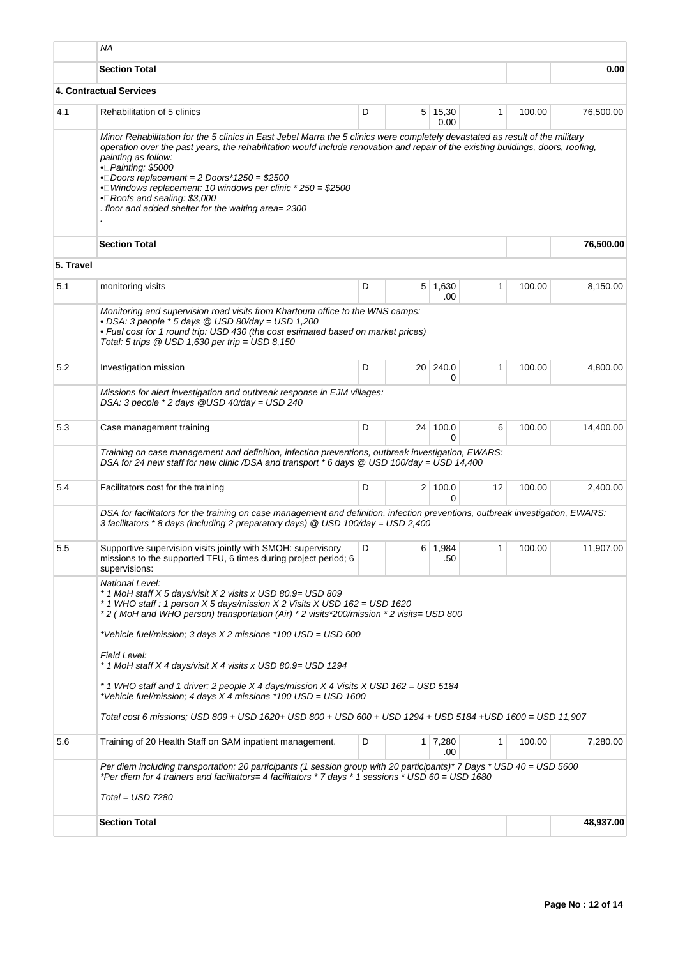|           | <b>NA</b>                                                                                                                                                                                                                                                                                                                                                                                                                                                                                                                                                         |   |        |                        |    |        |           |
|-----------|-------------------------------------------------------------------------------------------------------------------------------------------------------------------------------------------------------------------------------------------------------------------------------------------------------------------------------------------------------------------------------------------------------------------------------------------------------------------------------------------------------------------------------------------------------------------|---|--------|------------------------|----|--------|-----------|
|           | <b>Section Total</b>                                                                                                                                                                                                                                                                                                                                                                                                                                                                                                                                              |   |        |                        |    |        | 0.00      |
|           | <b>4. Contractual Services</b>                                                                                                                                                                                                                                                                                                                                                                                                                                                                                                                                    |   |        |                        |    |        |           |
| 4.1       | Rehabilitation of 5 clinics                                                                                                                                                                                                                                                                                                                                                                                                                                                                                                                                       | D |        | $5 \mid 15,30$<br>0.00 | 1  | 100.00 | 76,500.00 |
|           | Minor Rehabilitation for the 5 clinics in East Jebel Marra the 5 clinics were completely devastated as result of the military<br>operation over the past years, the rehabilitation would include renovation and repair of the existing buildings, doors, roofing,<br>painting as follow:<br>●□ Painting: \$5000<br>$\bullet$ Doors replacement = 2 Doors*1250 = \$2500<br>•□ Windows replacement: 10 windows per clinic * 250 = \$2500<br>•□ Roofs and sealing: \$3,000<br>floor and added shelter for the waiting area= 2300                                     |   |        |                        |    |        |           |
|           | <b>Section Total</b>                                                                                                                                                                                                                                                                                                                                                                                                                                                                                                                                              |   |        |                        |    |        | 76,500.00 |
| 5. Travel |                                                                                                                                                                                                                                                                                                                                                                                                                                                                                                                                                                   |   |        |                        |    |        |           |
| 5.1       | monitoring visits                                                                                                                                                                                                                                                                                                                                                                                                                                                                                                                                                 | D |        | $5 \mid 1,630$<br>.00  | 1  | 100.00 | 8,150.00  |
|           | Monitoring and supervision road visits from Khartoum office to the WNS camps:<br>$\bullet$ DSA: 3 people $\ast$ 5 days @ USD 80/day = USD 1,200<br>• Fuel cost for 1 round trip: USD 430 (the cost estimated based on market prices)<br>Total: 5 trips $@$ USD 1,630 per trip = USD 8,150                                                                                                                                                                                                                                                                         |   |        |                        |    |        |           |
| 5.2       | Investigation mission                                                                                                                                                                                                                                                                                                                                                                                                                                                                                                                                             | D | $20-1$ | 240.0<br>0             | 1  | 100.00 | 4,800.00  |
|           | Missions for alert investigation and outbreak response in EJM villages:<br>DSA: $3$ people * $2$ days @USD 40/day = USD 240                                                                                                                                                                                                                                                                                                                                                                                                                                       |   |        |                        |    |        |           |
| 5.3       | Case management training                                                                                                                                                                                                                                                                                                                                                                                                                                                                                                                                          | D | 24     | 100.0<br>0             | 6  | 100.00 | 14,400.00 |
|           | Training on case management and definition, infection preventions, outbreak investigation, EWARS:<br>DSA for 24 new staff for new clinic /DSA and transport $*$ 6 days $@$ USD 100/day = USD 14,400                                                                                                                                                                                                                                                                                                                                                               |   |        |                        |    |        |           |
| 5.4       | Facilitators cost for the training                                                                                                                                                                                                                                                                                                                                                                                                                                                                                                                                | D |        | 2   100.0<br>0         | 12 | 100.00 | 2,400.00  |
|           | DSA for facilitators for the training on case management and definition, infection preventions, outbreak investigation, EWARS:<br>3 facilitators * 8 days (including 2 preparatory days) $\circledR$ USD 100/day = USD 2,400                                                                                                                                                                                                                                                                                                                                      |   |        |                        |    |        |           |
| 5.5       | Supportive supervision visits jointly with SMOH: supervisory<br>missions to the supported TFU, 6 times during project period; 6<br>supervisions:                                                                                                                                                                                                                                                                                                                                                                                                                  | D | 6      | 1,984<br>.50           | 1  | 100.00 | 11,907.00 |
|           | National Level:<br>* 1 MoH staff X 5 days/visit X 2 visits x USD 80.9= USD 809<br>* 1 WHO staff : 1 person X 5 days/mission X 2 Visits X USD 162 = USD 1620<br>*2 (MoH and WHO person) transportation (Air) *2 visits *200/mission *2 visits= USD 800<br>*Vehicle fuel/mission; 3 days X 2 missions *100 USD = USD 600<br>Field Level:<br>* 1 MoH staff X 4 days/visit X 4 visits x USD 80.9= USD 1294<br>* 1 WHO staff and 1 driver: 2 people X 4 days/mission X 4 Visits X USD 162 = USD 5184<br>*Vehicle fuel/mission; 4 days X 4 missions *100 USD = USD 1600 |   |        |                        |    |        |           |
|           | Total cost 6 missions; USD 809 + USD 1620+ USD 800 + USD 600 + USD 1294 + USD 5184 +USD 1600 = USD 11,907                                                                                                                                                                                                                                                                                                                                                                                                                                                         |   |        |                        |    |        |           |
| 5.6       | Training of 20 Health Staff on SAM inpatient management.                                                                                                                                                                                                                                                                                                                                                                                                                                                                                                          | D |        | $1 \mid 7,280$<br>.00  | 1  | 100.00 | 7,280.00  |
|           | Per diem including transportation: 20 participants (1 session group with 20 participants)* 7 Days * USD 40 = USD 5600<br>*Per diem for 4 trainers and facilitators= 4 facilitators * 7 days * 1 sessions * USD 60 = USD 1680                                                                                                                                                                                                                                                                                                                                      |   |        |                        |    |        |           |
|           | Total = USD 7280                                                                                                                                                                                                                                                                                                                                                                                                                                                                                                                                                  |   |        |                        |    |        |           |
|           | <b>Section Total</b>                                                                                                                                                                                                                                                                                                                                                                                                                                                                                                                                              |   |        |                        |    |        | 48,937.00 |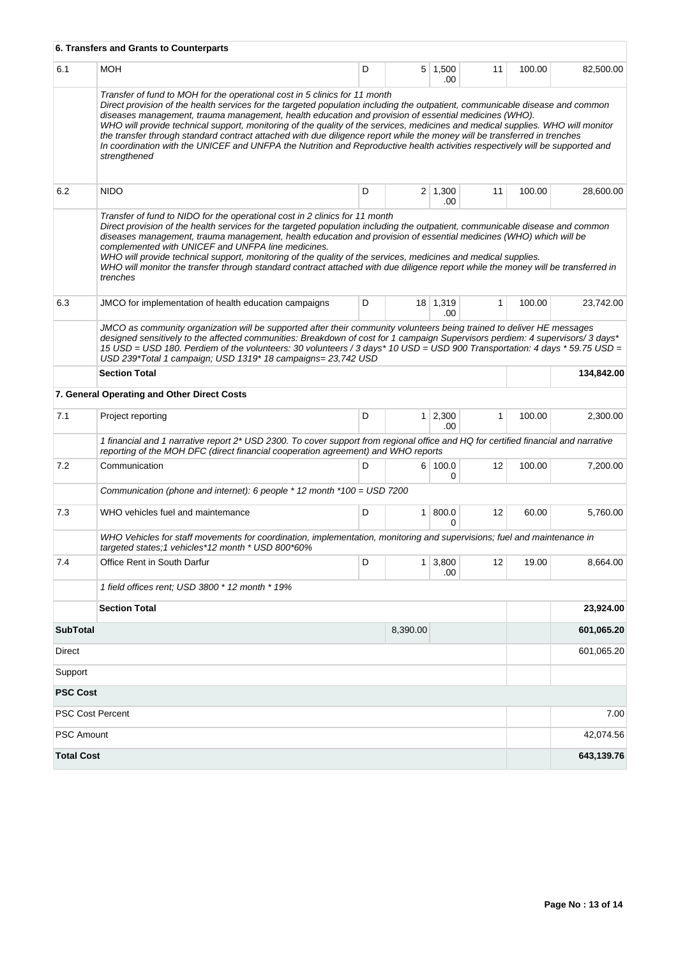|                         | 6. Transfers and Grants to Counterparts                                                                                                                                                                                                                                                                                                                                                                                                                                                                                                                                                                                                                                                                                              |   |                |                       |                   |        |            |
|-------------------------|--------------------------------------------------------------------------------------------------------------------------------------------------------------------------------------------------------------------------------------------------------------------------------------------------------------------------------------------------------------------------------------------------------------------------------------------------------------------------------------------------------------------------------------------------------------------------------------------------------------------------------------------------------------------------------------------------------------------------------------|---|----------------|-----------------------|-------------------|--------|------------|
| 6.1                     | <b>MOH</b>                                                                                                                                                                                                                                                                                                                                                                                                                                                                                                                                                                                                                                                                                                                           | D |                | $5 \mid 1,500$<br>.00 | 11                | 100.00 | 82,500.00  |
|                         | Transfer of fund to MOH for the operational cost in 5 clinics for 11 month<br>Direct provision of the health services for the targeted population including the outpatient, communicable disease and common<br>diseases management, trauma management, health education and provision of essential medicines (WHO).<br>WHO will provide technical support, monitoring of the quality of the services, medicines and medical supplies. WHO will monitor<br>the transfer through standard contract attached with due diligence report while the money will be transferred in trenches<br>In coordination with the UNICEF and UNFPA the Nutrition and Reproductive health activities respectively will be supported and<br>strengthened |   |                |                       |                   |        |            |
| 6.2                     | <b>NIDO</b>                                                                                                                                                                                                                                                                                                                                                                                                                                                                                                                                                                                                                                                                                                                          | D |                | $2 \mid 1,300$<br>.00 | 11                | 100.00 | 28,600.00  |
|                         | Transfer of fund to NIDO for the operational cost in 2 clinics for 11 month<br>Direct provision of the health services for the targeted population including the outpatient, communicable disease and common<br>diseases management, trauma management, health education and provision of essential medicines (WHO) which will be<br>complemented with UNICEF and UNFPA line medicines.<br>WHO will provide technical support, monitoring of the quality of the services, medicines and medical supplies.<br>WHO will monitor the transfer through standard contract attached with due diligence report while the money will be transferred in<br>trenches                                                                           |   |                |                       |                   |        |            |
| 6.3                     | JMCO for implementation of health education campaigns                                                                                                                                                                                                                                                                                                                                                                                                                                                                                                                                                                                                                                                                                | D |                | 18 1,319<br>.00       | $\mathbf{1}$      | 100.00 | 23,742.00  |
|                         | JMCO as community organization will be supported after their community volunteers being trained to deliver HE messages<br>designed sensitively to the affected communities: Breakdown of cost for 1 campaign Supervisors perdiem: 4 supervisors/3 days*<br>15 USD = USD 180. Perdiem of the volunteers: 30 volunteers / 3 days* 10 USD = USD 900 Transportation: 4 days * 59.75 USD =<br>USD 239*Total 1 campaign; USD 1319* 18 campaigns= 23,742 USD                                                                                                                                                                                                                                                                                |   |                |                       |                   |        |            |
|                         | <b>Section Total</b>                                                                                                                                                                                                                                                                                                                                                                                                                                                                                                                                                                                                                                                                                                                 |   |                |                       |                   |        | 134,842.00 |
|                         | 7. General Operating and Other Direct Costs                                                                                                                                                                                                                                                                                                                                                                                                                                                                                                                                                                                                                                                                                          |   |                |                       |                   |        |            |
| 7.1                     | Project reporting                                                                                                                                                                                                                                                                                                                                                                                                                                                                                                                                                                                                                                                                                                                    | D |                | $1 \mid 2,300$<br>.00 | $\mathbf{1}$      | 100.00 | 2,300.00   |
|                         | 1 financial and 1 narrative report 2* USD 2300. To cover support from regional office and HQ for certified financial and narrative<br>reporting of the MOH DFC (direct financial cooperation agreement) and WHO reports                                                                                                                                                                                                                                                                                                                                                                                                                                                                                                              |   |                |                       |                   |        |            |
| 7.2                     | Communication                                                                                                                                                                                                                                                                                                                                                                                                                                                                                                                                                                                                                                                                                                                        | D |                | 6 100.0<br>0          | $12 \overline{ }$ | 100.00 | 7,200.00   |
|                         | Communication (phone and internet): 6 people * 12 month *100 = USD 7200                                                                                                                                                                                                                                                                                                                                                                                                                                                                                                                                                                                                                                                              |   |                |                       |                   |        |            |
| 7.3                     | WHO vehicles fuel and maintemance                                                                                                                                                                                                                                                                                                                                                                                                                                                                                                                                                                                                                                                                                                    | D | $\mathbf{1}$   | 800.0<br>0            | 12                | 60.00  | 5,760.00   |
|                         | WHO Vehicles for staff movements for coordination, implementation, monitoring and supervisions; fuel and maintenance in<br>targeted states:1 vehicles*12 month * USD 800*60%                                                                                                                                                                                                                                                                                                                                                                                                                                                                                                                                                         |   |                |                       |                   |        |            |
| 7.4                     | Office Rent in South Darfur                                                                                                                                                                                                                                                                                                                                                                                                                                                                                                                                                                                                                                                                                                          | D | 1 <sup>1</sup> | 3,800<br>.00          | 12                | 19.00  | 8,664.00   |
|                         | 1 field offices rent; USD 3800 * 12 month * 19%                                                                                                                                                                                                                                                                                                                                                                                                                                                                                                                                                                                                                                                                                      |   |                |                       |                   |        |            |
|                         | <b>Section Total</b>                                                                                                                                                                                                                                                                                                                                                                                                                                                                                                                                                                                                                                                                                                                 |   |                |                       |                   |        | 23,924.00  |
| <b>SubTotal</b>         |                                                                                                                                                                                                                                                                                                                                                                                                                                                                                                                                                                                                                                                                                                                                      |   | 8,390.00       |                       |                   |        | 601,065.20 |
| <b>Direct</b>           |                                                                                                                                                                                                                                                                                                                                                                                                                                                                                                                                                                                                                                                                                                                                      |   |                |                       |                   |        | 601,065.20 |
| Support                 |                                                                                                                                                                                                                                                                                                                                                                                                                                                                                                                                                                                                                                                                                                                                      |   |                |                       |                   |        |            |
| <b>PSC Cost</b>         |                                                                                                                                                                                                                                                                                                                                                                                                                                                                                                                                                                                                                                                                                                                                      |   |                |                       |                   |        |            |
| <b>PSC Cost Percent</b> |                                                                                                                                                                                                                                                                                                                                                                                                                                                                                                                                                                                                                                                                                                                                      |   |                |                       |                   |        | 7.00       |
| <b>PSC Amount</b>       |                                                                                                                                                                                                                                                                                                                                                                                                                                                                                                                                                                                                                                                                                                                                      |   |                |                       |                   |        | 42,074.56  |
| <b>Total Cost</b>       |                                                                                                                                                                                                                                                                                                                                                                                                                                                                                                                                                                                                                                                                                                                                      |   |                |                       |                   |        | 643,139.76 |